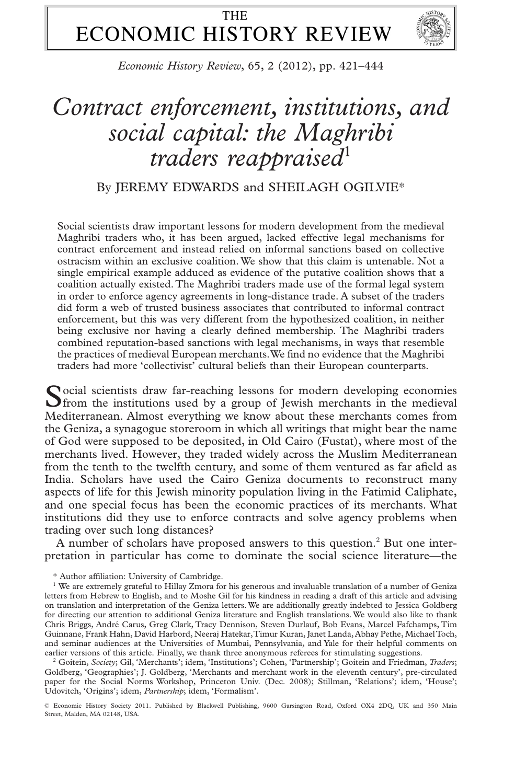## **THE ECONOMIC HISTORY REVIEW**

bs\_bs\_banner



*Economic History Review*, 65, 2 (2012), pp. 421–444

# *Contract enforcement, institutions, and social capital: the Maghribi traders reappraised*<sup>1</sup>

### By JEREMY EDWARDS and SHEILAGH OGILVIE\*

Social scientists draw important lessons for modern development from the medieval Maghribi traders who, it has been argued, lacked effective legal mechanisms for contract enforcement and instead relied on informal sanctions based on collective ostracism within an exclusive coalition.We show that this claim is untenable. Not a single empirical example adduced as evidence of the putative coalition shows that a coalition actually existed. The Maghribi traders made use of the formal legal system in order to enforce agency agreements in long-distance trade. A subset of the traders did form a web of trusted business associates that contributed to informal contract enforcement, but this was very different from the hypothesized coalition, in neither being exclusive nor having a clearly defined membership. The Maghribi traders combined reputation-based sanctions with legal mechanisms, in ways that resemble the practices of medieval European merchants.We find no evidence that the Maghribi traders had more 'collectivist' cultural beliefs than their European counterparts.

Social scientists draw far-reaching lessons for modern developing economies<br>from the institutions used by a group of Jewish merchants in the medieval Mediterranean. Almost everything we know about these merchants comes from the Geniza, a synagogue storeroom in which all writings that might bear the name of God were supposed to be deposited, in Old Cairo (Fustat), where most of the merchants lived. However, they traded widely across the Muslim Mediterranean from the tenth to the twelfth century, and some of them ventured as far afield as India. Scholars have used the Cairo Geniza documents to reconstruct many aspects of life for this Jewish minority population living in the Fatimid Caliphate, and one special focus has been the economic practices of its merchants. What institutions did they use to enforce contracts and solve agency problems when trading over such long distances?

A number of scholars have proposed answers to this question.<sup>2</sup> But one interpretation in particular has come to dominate the social science literature—the

<sup>2</sup> Goitein, *Society*; Gil, 'Merchants'; idem, 'Institutions'; Cohen, 'Partnership'; Goitein and Friedman, *Traders*; Goldberg, 'Geographies'; J. Goldberg, 'Merchants and merchant work in the eleventh century', pre-circulated paper for the Social Norms Workshop, Princeton Univ. (Dec. 2008); Stillman, 'Relations'; idem, 'House'; Udovitch, 'Origins'; idem, *Partnership*; idem, 'Formalism'.

© Economic History Society 2011. Published by Blackwell Publishing, 9600 Garsington Road, Oxford OX4 2DQ, UK and 350 Main Street, Malden, MA 02148, USA.

<sup>\*</sup> Author affiliation: University of Cambridge.

<sup>&</sup>lt;sup>1</sup> We are extremely grateful to Hillay Zmora for his generous and invaluable translation of a number of Geniza letters from Hebrew to English, and to Moshe Gil for his kindness in reading a draft of this article and advising on translation and interpretation of the Geniza letters.We are additionally greatly indebted to Jessica Goldberg for directing our attention to additional Geniza literature and English translations. We would also like to thank Chris Briggs, André Carus, Greg Clark, Tracy Dennison, Steven Durlauf, Bob Evans, Marcel Fafchamps, Tim Guinnane, Frank Hahn, David Harbord, Neeraj Hatekar,Timur Kuran, Janet Landa, Abhay Pethe, MichaelToch, and seminar audiences at the Universities of Mumbai, Pennsylvania, and Yale for their helpful comments on earlier versions of this article. Finally, we thank three anonymous referees for stimulating suggestions.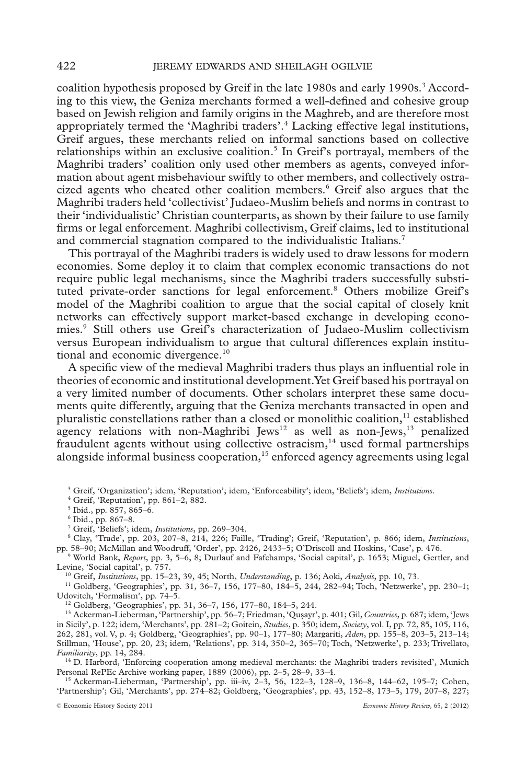coalition hypothesis proposed by Greif in the late 1980s and early 1990s.<sup>3</sup> According to this view, the Geniza merchants formed a well-defined and cohesive group based on Jewish religion and family origins in the Maghreb, and are therefore most appropriately termed the 'Maghribi traders'.4 Lacking effective legal institutions, Greif argues, these merchants relied on informal sanctions based on collective relationships within an exclusive coalition.<sup>5</sup> In Greif's portrayal, members of the Maghribi traders' coalition only used other members as agents, conveyed information about agent misbehaviour swiftly to other members, and collectively ostracized agents who cheated other coalition members.<sup>6</sup> Greif also argues that the Maghribi traders held 'collectivist' Judaeo-Muslim beliefs and norms in contrast to their 'individualistic' Christian counterparts, as shown by their failure to use family firms or legal enforcement. Maghribi collectivism, Greif claims, led to institutional and commercial stagnation compared to the individualistic Italians.<sup>7</sup>

This portrayal of the Maghribi traders is widely used to draw lessons for modern economies. Some deploy it to claim that complex economic transactions do not require public legal mechanisms, since the Maghribi traders successfully substituted private-order sanctions for legal enforcement.<sup>8</sup> Others mobilize Greif's model of the Maghribi coalition to argue that the social capital of closely knit networks can effectively support market-based exchange in developing economies.9 Still others use Greif's characterization of Judaeo-Muslim collectivism versus European individualism to argue that cultural differences explain institutional and economic divergence.<sup>10</sup>

A specific view of the medieval Maghribi traders thus plays an influential role in theories of economic and institutional development.Yet Greif based his portrayal on a very limited number of documents. Other scholars interpret these same documents quite differently, arguing that the Geniza merchants transacted in open and pluralistic constellations rather than a closed or monolithic coalition, $11$  established agency relations with non-Maghribi Jews<sup>12</sup> as well as non-Jews,<sup>13</sup> penalized fraudulent agents without using collective ostracism,<sup>14</sup> used formal partnerships alongside informal business cooperation,<sup>15</sup> enforced agency agreements using legal

<sup>3</sup> Greif, 'Organization'; idem, 'Reputation'; idem, 'Enforceability'; idem, 'Beliefs'; idem, *Institutions*.

<sup>4</sup> Greif, 'Reputation', pp. 861–2, 882.

<sup>5</sup> Ibid., pp. 857, 865–6.

<sup>7</sup> Greif, 'Beliefs'; idem, *Institutions*, pp. 269–304.

<sup>8</sup> Clay, 'Trade', pp. 203, 207–8, 214, 226; Faille, 'Trading'; Greif, 'Reputation', p. 866; idem, *Institutions*, pp. 58–90; McMillan and Woodruff, 'Order', pp. 2426, 2433–5; O'Driscoll and Hoskins, 'Case', p. 476.

<sup>9</sup> World Bank, *Report*, pp. 3, 5–6, 8; Durlauf and Fafchamps, 'Social capital', p. 1653; Miguel, Gertler, and Levine, 'Social capital', p. 757.

<sup>10</sup> Greif, *Institutions*, pp. 15–23, 39, 45; North, *Understanding*, p. 136; Aoki, *Analysis*, pp. 10, 73.

<sup>11</sup> Goldberg, 'Geographies', pp. 31, 36–7, 156, 177–80, 184–5, 244, 282–94; Toch, 'Netzwerke', pp. 230–1; Udovitch, 'Formalism', pp. 74–5.

<sup>12</sup> Goldberg, 'Geographies', pp. 31, 36–7, 156, 177–80, 184–5, 244.

<sup>13</sup> Ackerman-Lieberman, 'Partnership', pp. 56–7; Friedman, 'Qus· ayr', p. 401; Gil, *Countries*, p. 687; idem, 'Jews in Sicily', p. 122; idem, 'Merchants', pp. 281–2; Goitein, *Studies*, p. 350; idem, *Society*, vol. I, pp. 72, 85, 105, 116, 262, 281, vol. V, p. 4; Goldberg, 'Geographies', pp. 90–1, 177–80; Margariti, *Aden*, pp. 155–8, 203–5, 213–14; Stillman, 'House', pp. 20, 23; idem, 'Relations', pp. 314, 350–2, 365–70; Toch, 'Netzwerke', p. 233; Trivellato, *Familiarity*, pp. 14, 284.

<sup>14</sup> D. Harbord, 'Enforcing cooperation among medieval merchants: the Maghribi traders revisited', Munich Personal RePEc Archive working paper, 1889 (2006), pp. 2–5, 28–9, 33–4.

<sup>15</sup> Ackerman-Lieberman, 'Partnership', pp. iii–iv, 2–3, 56, 122–3, 128–9, 136–8, 144–62, 195–7; Cohen, 'Partnership'; Gil, 'Merchants', pp. 274–82; Goldberg, 'Geographies', pp. 43, 152–8, 173–5, 179, 207–8, 227;

 $6$  Ibid., pp. 867–8.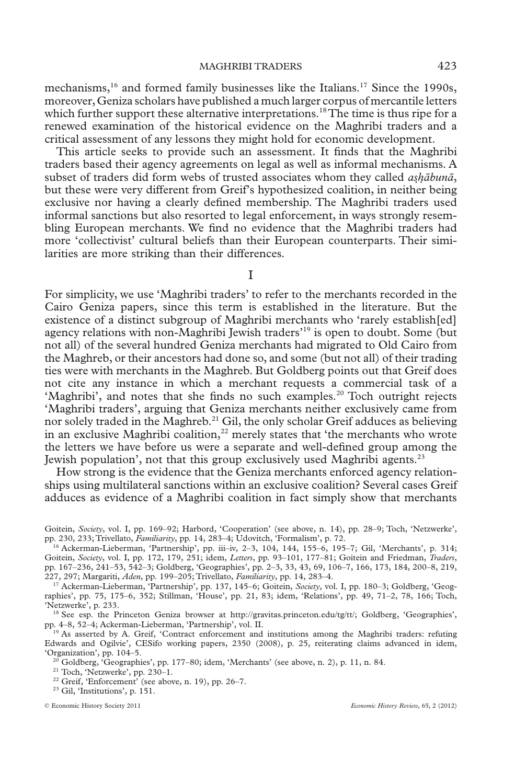#### MAGHRIBI TRADERS 423

mechanisms,<sup>16</sup> and formed family businesses like the Italians.<sup>17</sup> Since the 1990s, moreover,Geniza scholars have published a much larger corpus of mercantile letters which further support these alternative interpretations.<sup>18</sup>The time is thus ripe for a renewed examination of the historical evidence on the Maghribi traders and a critical assessment of any lessons they might hold for economic development.

This article seeks to provide such an assessment. It finds that the Maghribi traders based their agency agreements on legal as well as informal mechanisms. A subset of traders did form webs of trusted associates whom they called *ashābunā*, subset of traders did form webs of trusted associates whom they called *ashabitra,*<br>but these were very different from Greif's hypothesized coalition, in neither being exclusive nor having a clearly defined membership. The Maghribi traders used informal sanctions but also resorted to legal enforcement, in ways strongly resembling European merchants. We find no evidence that the Maghribi traders had more 'collectivist' cultural beliefs than their European counterparts. Their similarities are more striking than their differences.

I

For simplicity, we use 'Maghribi traders' to refer to the merchants recorded in the Cairo Geniza papers, since this term is established in the literature. But the existence of a distinct subgroup of Maghribi merchants who 'rarely establish[ed] agency relations with non-Maghribi Jewish traders'19 is open to doubt. Some (but not all) of the several hundred Geniza merchants had migrated to Old Cairo from the Maghreb, or their ancestors had done so, and some (but not all) of their trading ties were with merchants in the Maghreb. But Goldberg points out that Greif does not cite any instance in which a merchant requests a commercial task of a 'Maghribi', and notes that she finds no such examples.<sup>20</sup> Toch outright rejects 'Maghribi traders', arguing that Geniza merchants neither exclusively came from nor solely traded in the Maghreb.<sup>21</sup> Gil, the only scholar Greif adduces as believing in an exclusive Maghribi coalition, $22$  merely states that 'the merchants who wrote the letters we have before us were a separate and well-defined group among the Jewish population', not that this group exclusively used Maghribi agents.<sup>23</sup>

How strong is the evidence that the Geniza merchants enforced agency relationships using multilateral sanctions within an exclusive coalition? Several cases Greif adduces as evidence of a Maghribi coalition in fact simply show that merchants

<sup>17</sup> Ackerman-Lieberman, 'Partnership', pp. 137, 145–6; Goitein, *Society*, vol. I, pp. 180–3; Goldberg, 'Geographies', pp. 75, 175–6, 352; Stillman, 'House', pp. 21, 83; idem, 'Relations', pp. 49, 71–2, 78, 166; Toch, 'Netzwerke', p. 233.

<sup>18</sup> See esp. the Princeton Geniza browser at http://gravitas.princeton.edu/tg/tt/; Goldberg, 'Geographies', pp. 4–8, 52–4; Ackerman-Lieberman, 'Partnership', vol. II.

<sup>19</sup> As asserted by A. Greif, 'Contract enforcement and institutions among the Maghribi traders: refuting Edwards and Ogilvie', CESifo working papers, 2350 (2008), p. 25, reiterating claims advanced in idem, 'Organization', pp. 104–5.

 $^{20}$  Goldberg, 'Geographies', pp. 177-80; idem, 'Merchants' (see above, n. 2), p. 11, n. 84.

<sup>21</sup> Toch, 'Netzwerke', pp. 230–1.

<sup>22</sup> Greif, 'Enforcement' (see above, n. 19), pp. 26–7.

<sup>23</sup> Gil, 'Institutions', p. 151.

© Economic History Society 2011 *Economic History Review*, 65, 2 (2012)

Goitein, *Society*, vol. I, pp. 169–92; Harbord, 'Cooperation' (see above, n. 14), pp. 28–9; Toch, 'Netzwerke', pp. 230, 233; Trivellato, *Familiarity*, pp. 14, 283–4; Udovitch, 'Formalism', p. 72.

<sup>16</sup> Ackerman-Lieberman, 'Partnership', pp. iii–iv, 2–3, 104, 144, 155–6, 195–7; Gil, 'Merchants', p. 314; Goitein, *Society*, vol. I, pp. 172, 179, 251; idem, *Letters*, pp. 93–101, 177–81; Goitein and Friedman, *Traders*, pp. 167–236, 241–53, 542–3; Goldberg, 'Geographies', pp. 2–3, 33, 43, 69, 106–7, 166, 173, 184, 200–8, 219, 227, 297; Margariti, *Aden*, pp. 199–205; Trivellato, *Familiarity*, pp. 14, 283–4.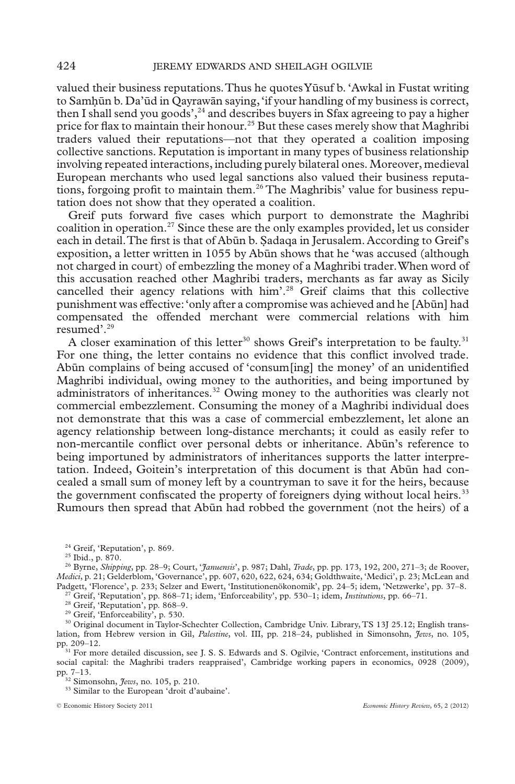valued their business reputations. Thus he quotes  $Y$ ūsuf b. 'Awkal in Fustat writing to Samhūn b. Da'ūd in Qayrawān saying, 'if your handling of my business is correct,<br>then I shall aan darus nood: <sup>24</sup> and daosiliae human in Sfan agresine to gave high an then I shall send you goods',  $^{24}$  and describes buyers in Sfax agreeing to pay a higher price for flax to maintain their honour.<sup>25</sup> But these cases merely show that Maghribi traders valued their reputations—not that they operated a coalition imposing collective sanctions. Reputation is important in many types of business relationship involving repeated interactions, including purely bilateral ones.Moreover, medieval European merchants who used legal sanctions also valued their business reputations, forgoing profit to maintain them.26 The Maghribis' value for business reputation does not show that they operated a coalition.

Greif puts forward five cases which purport to demonstrate the Maghribi coalition in operation.27 Since these are the only examples provided, let us consider each in detail. The first is that of Abūn b. Sadaqa in Jerusalem. According to Greif's exposition, a letter written in 1055 by Abūn shows that he 'was accused (although not charged in court) of embezzling the money of a Maghribi trader.When word of this accusation reached other Maghribi traders, merchants as far away as Sicily cancelled their agency relations with him'.28 Greif claims that this collective punishment was effective: 'only after a compromise was achieved and he [Abūn] had compensated the offended merchant were commercial relations with him resumed'.29

A closer examination of this letter<sup>30</sup> shows Greif's interpretation to be faulty.<sup>31</sup> For one thing, the letter contains no evidence that this conflict involved trade. Abun complains of being accused of 'consum[ing] the money' of an unidentified Maghribi individual, owing money to the authorities, and being importuned by administrators of inheritances. $32$  Owing money to the authorities was clearly not commercial embezzlement. Consuming the money of a Maghribi individual does not demonstrate that this was a case of commercial embezzlement, let alone an agency relationship between long-distance merchants; it could as easily refer to non-mercantile conflict over personal debts or inheritance. Abun's reference to being importuned by administrators of inheritances supports the latter interpretation. Indeed, Goitein's interpretation of this document is that Abūn had concealed a small sum of money left by a countryman to save it for the heirs, because the government confiscated the property of foreigners dying without local heirs.<sup>33</sup> Rumours then spread that Abūn had robbed the government (not the heirs) of a

<sup>28</sup> Greif, 'Reputation', pp. 868-9.

<sup>29</sup> Greif, 'Enforceability', p. 530.

<sup>30</sup> Original document in Taylor-Schechter Collection, Cambridge Univ. Library, TS 13J 25.12; English translation, from Hebrew version in Gil, *Palestine*, vol. III, pp. 218–24, published in Simonsohn, *Jews*, no. 105, pp. 209–12.

<sup>31</sup> For more detailed discussion, see J. S. S. Edwards and S. Ogilvie, 'Contract enforcement, institutions and social capital: the Maghribi traders reappraised', Cambridge working papers in economics, 0928 (2009), pp. 7–13.

<sup>32</sup> Simonsohn, *Jews*, no. 105, p. 210.

<sup>33</sup> Similar to the European 'droit d'aubaine'.

<sup>&</sup>lt;sup>24</sup> Greif, 'Reputation', p. 869.

<sup>25</sup> Ibid., p. 870.

<sup>26</sup> Byrne, *Shipping*, pp. 28–9; Court, '*Januensis*', p. 987; Dahl, *Trade*, pp. pp. 173, 192, 200, 271–3; de Roover, *Medici*, p. 21; Gelderblom, 'Governance', pp. 607, 620, 622, 624, 634; Goldthwaite, 'Medici', p. 23; McLean and Padgett, 'Florence', p. 233; Selzer and Ewert, 'Institutionenökonomik', pp. 24–5; idem, 'Netzwerke', pp. 37–8.

<sup>27</sup> Greif, 'Reputation', pp. 868–71; idem, 'Enforceability', pp. 530–1; idem, *Institutions*, pp. 66–71.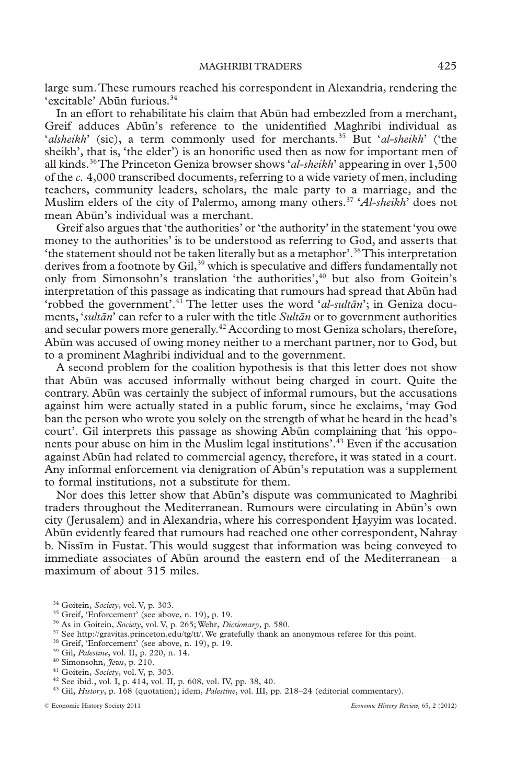large sum.These rumours reached his correspondent in Alexandria, rendering the 'excitable' Abūn furious.<sup>34</sup>

In an effort to rehabilitate his claim that Abūn had embezzled from a merchant, Greif adduces Abūn's reference to the unidentified Maghribi individual as '*alsheikh*' (sic), a term commonly used for merchants.<sup>35</sup> But '*al-sheikh*' ('the sheikh', that is, 'the elder') is an honorific used then as now for important men of all kinds.36The Princeton Geniza browser shows '*al-sheikh*' appearing in over 1,500 of the *c.* 4,000 transcribed documents, referring to a wide variety of men, including teachers, community leaders, scholars, the male party to a marriage, and the Muslim elders of the city of Palermo, among many others.37 '*Al-sheikh*' does not mean Abūn's individual was a merchant.

Greif also argues that 'the authorities' or 'the authority' in the statement 'you owe money to the authorities' is to be understood as referring to God, and asserts that 'the statement should not be taken literally but as a metaphor'.<sup>38</sup>This interpretation derives from a footnote by Gil,<sup>39</sup> which is speculative and differs fundamentally not only from Simonsohn's translation 'the authorities',<sup>40</sup> but also from Goitein's interpretation of this passage as indicating that rumours had spread that Abūn had 'robbed the government'.<sup>41</sup> The letter uses the word '*al-sultān*'; in Geniza documents, *'sultān'* can refer to a ruler with the title *Sultān* or to government authorities and secular powers more generally.<sup>42</sup> According to most Geniza scholars, therefore, Abun was accused of owing money neither to a merchant partner, nor to God, but to a prominent Maghribi individual and to the government.

A second problem for the coalition hypothesis is that this letter does not show that Abūn was accused informally without being charged in court. Quite the contrary. Abun was certainly the subject of informal rumours, but the accusations against him were actually stated in a public forum, since he exclaims, 'may God ban the person who wrote you solely on the strength of what he heard in the head's court'. Gil interprets this passage as showing Abūn complaining that 'his opponents pour abuse on him in the Muslim legal institutions'.43 Even if the accusation against Abūn had related to commercial agency, therefore, it was stated in a court. Any informal enforcement via denigration of Abūn's reputation was a supplement to formal institutions, not a substitute for them.

Nor does this letter show that Abūn's dispute was communicated to Maghribi traders throughout the Mediterranean. Rumours were circulating in Abūn's own city (Jerusalem) and in Alexandria, where his correspondent Havyim was located. Abun evidently feared that rumours had reached one other correspondent, Nahray b. Nissim in Fustat. This would suggest that information was being conveyed to immediate associates of Abūn around the eastern end of the Mediterranean—a maximum of about 315 miles.

- <sup>38</sup> Greif, 'Enforcement' (see above, n. 19), p. 19.
- <sup>39</sup> Gil, *Palestine*, vol. II, p. 220, n. 14.

<sup>41</sup> Goitein, *Society*, vol. V, p. 303.

<sup>43</sup> Gil, *History*, p. 168 (quotation); idem, *Palestine*, vol. III, pp. 218–24 (editorial commentary).

© Economic History Society 2011 *Economic History Review*, 65, 2 (2012)

<sup>34</sup> Goitein, *Society*, vol. V, p. 303.

<sup>35</sup> Greif, 'Enforcement' (see above, n. 19), p. 19.

<sup>36</sup> As in Goitein, *Society*, vol. V, p. 265; Wehr, *Dictionary*, p. 580.

<sup>37</sup> See http://gravitas.princeton.edu/tg/tt/. We gratefully thank an anonymous referee for this point.

<sup>40</sup> Simonsohn, *Jews*, p. 210.

<sup>42</sup> See ibid., vol. I, p. 414, vol. II, p. 608, vol. IV, pp. 38, 40.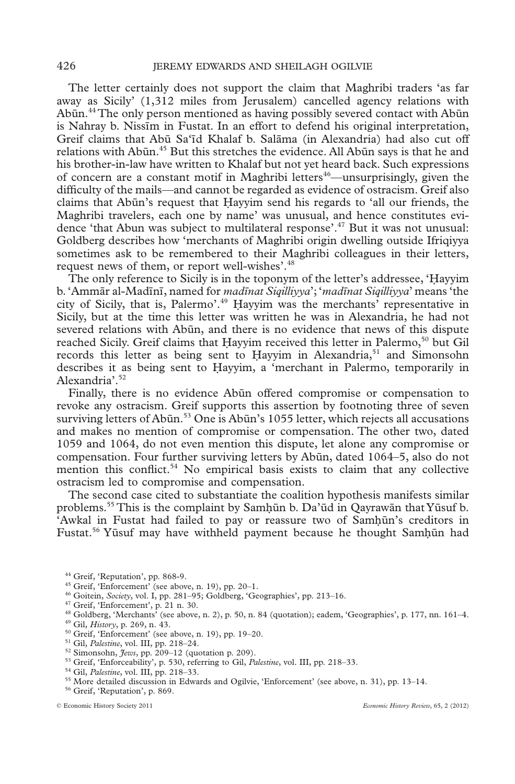The letter certainly does not support the claim that Maghribi traders 'as far away as Sicily' (1,312 miles from Jerusalem) cancelled agency relations with Abūn.<sup>44</sup> The only person mentioned as having possibly severed contact with Abūn is Nahray b. Nissīm in Fustat. In an effort to defend his original interpretation, Greif claims that Abū Sa'id Khalaf b. Salāma (in Alexandria) had also cut off relations with Abūn.<sup>45</sup> But this stretches the evidence. All Abūn says is that he and his brother-in-law have written to Khalaf but not yet heard back. Such expressions of concern are a constant motif in Maghribi letters<sup>46</sup>—unsurprisingly, given the difficulty of the mails—and cannot be regarded as evidence of ostracism. Greif also claims that Abūn's request that Hayyim send his regards to 'all our friends, the Maghribi travelers, each one by name' was unusual, and hence constitutes evidence 'that Abun was subject to multilateral response'.<sup>47</sup> But it was not unusual: Goldberg describes how 'merchants of Maghribi origin dwelling outside Ifriqiyya sometimes ask to be remembered to their Maghribi colleagues in their letters, request news of them, or report well-wishes'.48

The only reference to Sicily is in the toponym of the letter's addressee, 'Hayyim' b. 'Ammār al-Madīnī, named for *madīnat Sigilliyya*'; '*madīnat Sigilliyya*' means 'the city of Sicily, that is, Palermo'.<sup>49</sup> Hayyim was the merchants' representative in Sicily, but at the time this letter was written he was in Alexandria, he had not severed relations with Abūn, and there is no evidence that news of this dispute reached Sicily. Greif claims that Hayyim received this letter in Palermo,<sup>50</sup> but Gil records this letter as being sent to Hayyim in Alexandria,<sup>51</sup> and Simonsohn describes it as being sent to Hayyim, a 'merchant in Palermo, temporarily in Alexandria'.<sup>52</sup>

Finally, there is no evidence Abūn offered compromise or compensation to revoke any ostracism. Greif supports this assertion by footnoting three of seven surviving letters of Abūn.<sup>53</sup> One is Abūn's 1055 letter, which rejects all accusations and makes no mention of compromise or compensation. The other two, dated 1059 and 1064, do not even mention this dispute, let alone any compromise or compensation. Four further surviving letters by Abūn, dated 1064–5, also do not mention this conflict.<sup>54</sup> No empirical basis exists to claim that any collective ostracism led to compromise and compensation.

The second case cited to substantiate the coalition hypothesis manifests similar problems.<sup>55</sup> This is the complaint by Samhūn b. Da'ūd in Qayrawān that Yūsuf b. 'Awkal in Fustat had failed to pay or reassure two of Samhūn's creditors in  $F_{\text{scat}}$  is  $\frac{56 \text{ N}}{2}$  near home with the same theorem he through Samhūn's Fustat.<sup>56</sup> Yūsuf may have withheld payment because he thought Samhūn had

<sup>44</sup> Greif, 'Reputation', pp. 868-9.

<sup>45</sup> Greif, 'Enforcement' (see above, n. 19), pp. 20–1.

<sup>46</sup> Goitein, *Society*, vol. I, pp. 281–95; Goldberg, 'Geographies', pp. 213–16.

<sup>47</sup> Greif, 'Enforcement', p. 21 n. 30.

<sup>48</sup> Goldberg, 'Merchants' (see above, n. 2), p. 50, n. 84 (quotation); eadem, 'Geographies', p. 177, nn. 161–4.

<sup>49</sup> Gil, *History*, p. 269, n. 43.

<sup>50</sup> Greif, 'Enforcement' (see above, n. 19), pp. 19–20.

<sup>51</sup> Gil, *Palestine*, vol. III, pp. 218–24.

<sup>52</sup> Simonsohn, *Jews*, pp. 209–12 (quotation p. 209).

<sup>53</sup> Greif, 'Enforceability', p. 530, referring to Gil, *Palestine*, vol. III, pp. 218–33.

<sup>54</sup> Gil, *Palestine*, vol. III, pp. 218–33.

<sup>55</sup> More detailed discussion in Edwards and Ogilvie, 'Enforcement' (see above, n. 31), pp. 13–14.

<sup>56</sup> Greif, 'Reputation', p. 869.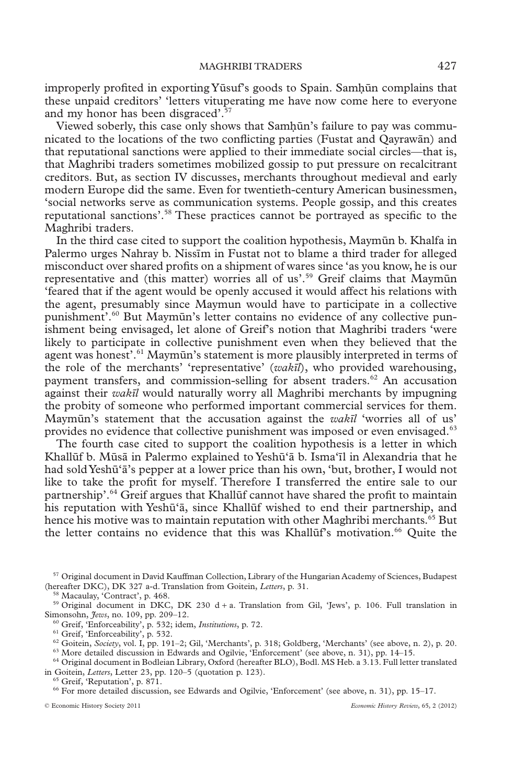improperly profited in exporting Yūsuf's goods to Spain. Samhūn complains that these unpaid creditors' 'letters vituperating me have now come here to everyone and my honor has been disgraced'.<sup>57</sup>

Viewed soberly, this case only shows that Samhūn's failure to pay was commu-<br>estad to the lagations of the two paralisting narries (Fustat and Osymurān) and nicated to the locations of the two conflicting parties (Fustat and Qayrawan) and that reputational sanctions were applied to their immediate social circles—that is, that Maghribi traders sometimes mobilized gossip to put pressure on recalcitrant creditors. But, as section IV discusses, merchants throughout medieval and early modern Europe did the same. Even for twentieth-century American businessmen, 'social networks serve as communication systems. People gossip, and this creates reputational sanctions'.58 These practices cannot be portrayed as specific to the Maghribi traders.

In the third case cited to support the coalition hypothesis, Maymun b. Khalfa in Palermo urges Nahray b. Nissīm in Fustat not to blame a third trader for alleged misconduct over shared profits on a shipment of wares since 'as you know, he is our representative and (this matter) worries all of us'.<sup>59</sup> Greif claims that Maymun 'feared that if the agent would be openly accused it would affect his relations with the agent, presumably since Maymun would have to participate in a collective punishment'.<sup>60</sup> But Maymūn's letter contains no evidence of any collective punishment being envisaged, let alone of Greif's notion that Maghribi traders 'were likely to participate in collective punishment even when they believed that the agent was honest'.<sup>61</sup> Maymūn's statement is more plausibly interpreted in terms of the role of the merchants' 'representative' (*wakil*), who provided warehousing, payment transfers, and commission-selling for absent traders.<sup>62</sup> An accusation against their *wakil* would naturally worry all Maghribi merchants by impugning the probity of someone who performed important commercial services for them. Maymun's statement that the accusation against the *wakil* 'worries all of us' provides no evidence that collective punishment was imposed or even envisaged.<sup>63</sup>

The fourth case cited to support the coalition hypothesis is a letter in which Khallut b. Musa in Palermo explained to Yeshũ av b. Isma il in Alexandria that he had sold Yeshū<sup>'</sup>a's pepper at a lower price than his own, 'but, brother, I would not like to take the profit for myself. Therefore I transferred the entire sale to our partnership'.<sup>64</sup> Greif argues that Khallūf cannot have shared the profit to maintain his reputation with Yeshū'ā, since Khallūf wished to end their partnership, and hence his motive was to maintain reputation with other Maghribi merchants.<sup>65</sup> But the letter contains no evidence that this was Khallu $f$ 's motivation.<sup>66</sup> Ouite the

<sup>57</sup> Original document in David Kauffman Collection, Library of the Hungarian Academy of Sciences, Budapest (hereafter DKC), DK 327 a-d. Translation from Goitein, *Letters*, p. 31.

<sup>58</sup> Macaulay, 'Contract', p. 468.

<sup>59</sup> Original document in DKC, DK 230 d + a. Translation from Gil, 'Jews', p. 106. Full translation in Simonsohn, *Jews*, no. 109, pp. 209–12.

<sup>60</sup> Greif, 'Enforceability', p. 532; idem, *Institutions*, p. 72.

<sup>61</sup> Greif, 'Enforceability', p. 532.

<sup>62</sup> Goitein, *Society*, vol. I, pp. 191–2; Gil, 'Merchants', p. 318; Goldberg, 'Merchants' (see above, n. 2), p. 20.

<sup>63</sup> More detailed discussion in Edwards and Ogilvie, 'Enforcement' (see above, n. 31), pp. 14–15.

<sup>64</sup> Original document in Bodleian Library, Oxford (hereafter BLO), Bodl. MS Heb. a 3.13. Full letter translated in Goitein, *Letters*, Letter 23, pp. 120–5 (quotation p. 123).

<sup>65</sup> Greif, 'Reputation', p. 871.

<sup>66</sup> For more detailed discussion, see Edwards and Ogilvie, 'Enforcement' (see above, n. 31), pp. 15–17.

© Economic History Society 2011 *Economic History Review*, 65, 2 (2012)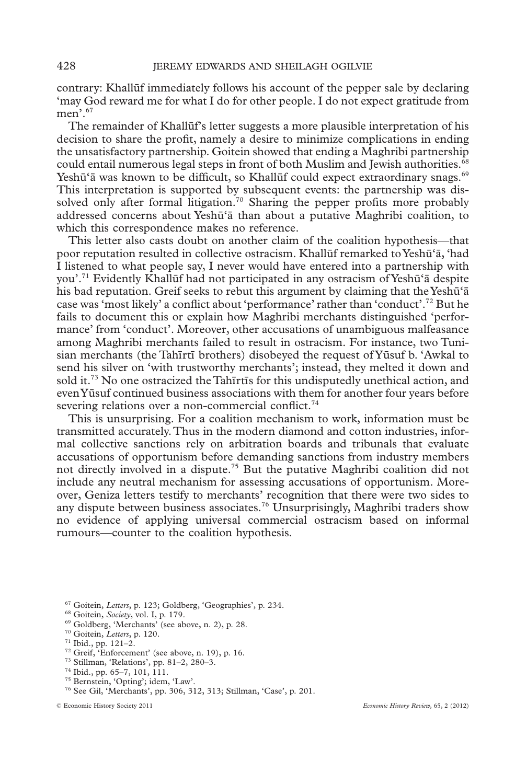contrary: Khallus filmmediately follows his account of the pepper sale by declaring 'may God reward me for what I do for other people. I do not expect gratitude from men'.<sup>67</sup>

The remainder of Khallūf's letter suggests a more plausible interpretation of his decision to share the profit, namely a desire to minimize complications in ending the unsatisfactory partnership. Goitein showed that ending a Maghribi partnership could entail numerous legal steps in front of both Muslim and Jewish authorities.<sup>68</sup> Yeshū'ā was known to be difficult, so Khallūf could expect extraordinary snags.<sup>69</sup> This interpretation is supported by subsequent events: the partnership was dissolved only after formal litigation.<sup>70</sup> Sharing the pepper profits more probably addressed concerns about Yeshūʻā than about a putative Maghribi coalition, to which this correspondence makes no reference.

This letter also casts doubt on another claim of the coalition hypothesis—that poor reputation resulted in collective ostracism. Khalluf remarked to Yeshũ'ā, 'had I listened to what people say, I never would have entered into a partnership with you'.<sup>71</sup> Evidently Khallūf had not participated in any ostracism of Yeshū'ā despite his bad reputation. Greif seeks to rebut this argument by claiming that the Yeshū<sup>'</sup>a case was 'most likely' a conflict about 'performance' rather than 'conduct'.72 But he fails to document this or explain how Maghribi merchants distinguished 'performance' from 'conduct'. Moreover, other accusations of unambiguous malfeasance among Maghribi merchants failed to result in ostracism. For instance, two Tunisian merchants (the Tahīrtī brothers) disobeyed the request of Yūsuf b. 'Awkal to send his silver on 'with trustworthy merchants'; instead, they melted it down and sold it. $^{73}$  No one ostracized the Tahīrtīs for this undisputedly unethical action, and even Yūsuf continued business associations with them for another four years before severing relations over a non-commercial conflict.<sup>74</sup>

This is unsurprising. For a coalition mechanism to work, information must be transmitted accurately.Thus in the modern diamond and cotton industries, informal collective sanctions rely on arbitration boards and tribunals that evaluate accusations of opportunism before demanding sanctions from industry members not directly involved in a dispute.75 But the putative Maghribi coalition did not include any neutral mechanism for assessing accusations of opportunism. Moreover, Geniza letters testify to merchants' recognition that there were two sides to any dispute between business associates.<sup>76</sup> Unsurprisingly, Maghribi traders show no evidence of applying universal commercial ostracism based on informal rumours—counter to the coalition hypothesis.

<sup>73</sup> Stillman, 'Relations', pp. 81–2, 280–3.

<sup>75</sup> Bernstein, 'Opting'; idem, 'Law'.

<sup>67</sup> Goitein, *Letters*, p. 123; Goldberg, 'Geographies', p. 234.

<sup>68</sup> Goitein, *Society*, vol. I, p. 179.

<sup>69</sup> Goldberg, 'Merchants' (see above, n. 2), p. 28.

<sup>70</sup> Goitein, *Letters*, p. 120.

<sup>71</sup> Ibid., pp. 121–2.

<sup>72</sup> Greif, 'Enforcement' (see above, n. 19), p. 16.

<sup>74</sup> Ibid., pp. 65–7, 101, 111.

<sup>76</sup> See Gil, 'Merchants', pp. 306, 312, 313; Stillman, 'Case', p. 201.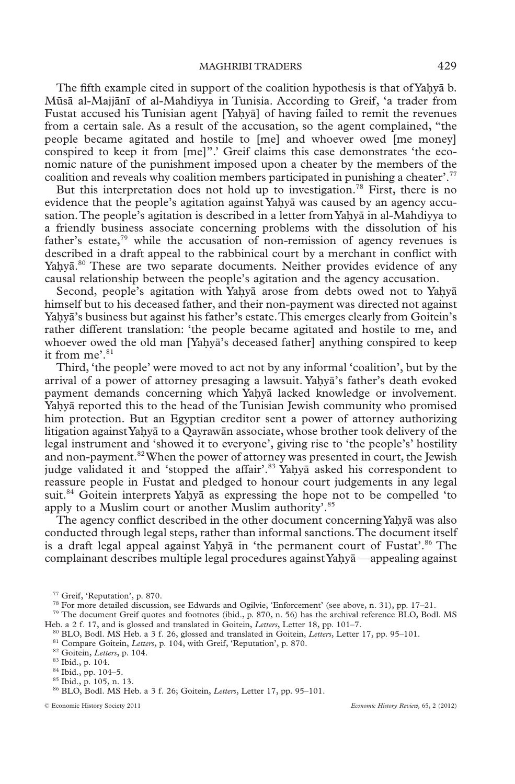The fifth example cited in support of the coalition hypothesis is that of Yahyā b. Mūsā al-Majjānī of al-Mahdiyya in Tunisia. According to Greif, 'a trader from Fustat accused his Tunisian agent [Yaḥyā] of having failed to remit the revenues from a certain sale. As a result of the accusation, so the agent complained, "the people became agitated and hostile to [me] and whoever owed [me money] conspired to keep it from [me]".' Greif claims this case demonstrates 'the economic nature of the punishment imposed upon a cheater by the members of the coalition and reveals why coalition members participated in punishing a cheater'.<sup>77</sup>

But this interpretation does not hold up to investigation.<sup>78</sup> First, there is no evidence that the people's agitation against Yahyā was caused by an agency accu-<br>cation The negative criterian is described in a latter from Yahuā in al Mahdium to sation. The people's agitation is described in a letter from Yahyā in al-Mahdiyya to a friendly business associate concerning problems with the dissolution of his father's estate, $79$  while the accusation of non-remission of agency revenues is described in a draft appeal to the rabbinical court by a merchant in conflict with Yahyā.<sup>80</sup> These are two separate documents. Neither provides evidence of any causal relationship between the people's agitation and the agency accusation.

Second, people's agitation with Yahya arose from debts owed not to Yahya himself but to his deceased father, and their non-payment was directed not against Yahyā's business but against his father's estate. This emerges clearly from Goitein's rather different translation: 'the people became agitated and hostile to me, and whoever owed the old man [Yaḥyā's deceased father] anything conspired to keep it from me'.<sup>81</sup>

Third, 'the people' were moved to act not by any informal 'coalition', but by the arrival of a power of attorney presaging a lawsuit. Yahyā's father's death evoked payment demands concerning which Yahyā lacked knowledge or involvement. Yahyā reported this to the head of the Tunisian Jewish community who promised him protection. But an Egyptian creditor sent a power of attorney authorizing litigation against Yahyā to a Qayrawān associate, whose brother took delivery of the legal instrument and 'showed it to everyone', giving rise to 'the people's' hostility and non-payment.<sup>82</sup>When the power of attorney was presented in court, the Jewish judge validated it and 'stopped the affair'.<sup>83</sup> Yahyā asked his correspondent to reassure people in Fustat and pledged to honour court judgements in any legal suit.<sup>84</sup> Goitein interprets Yahyā as expressing the hope not to be compelled 'to apply to a Muslim court or another Muslim authority'.<sup>85</sup>

The agency conflict described in the other document concerning Yahyā was also conducted through legal steps, rather than informal sanctions.The document itself is a draft legal appeal against Yahya $\overline{a}$  in 'the permanent court of Fustat'.<sup>86</sup> The complainant describes multiple legal procedures against Yaḥyā —appealing against

- <sup>81</sup> Compare Goitein, *Letters*, p. 104, with Greif, 'Reputation', p. 870.
- <sup>82</sup> Goitein, *Letters*, p. 104.

<sup>86</sup> BLO, Bodl. MS Heb. a 3 f. 26; Goitein, *Letters*, Letter 17, pp. 95–101.

<sup>77</sup> Greif, 'Reputation', p. 870.

<sup>78</sup> For more detailed discussion, see Edwards and Ogilvie, 'Enforcement' (see above, n. 31), pp. 17–21.

<sup>79</sup> The document Greif quotes and footnotes (ibid., p. 870, n. 56) has the archival reference BLO, Bodl. MS Heb. a 2 f. 17, and is glossed and translated in Goitein, *Letters*, Letter 18, pp. 101–7.

<sup>80</sup> BLO, Bodl. MS Heb. a 3 f. 26, glossed and translated in Goitein, *Letters*, Letter 17, pp. 95–101.

<sup>83</sup> Ibid., p. 104.

<sup>84</sup> Ibid., pp. 104–5.

<sup>85</sup> Ibid., p. 105, n. 13.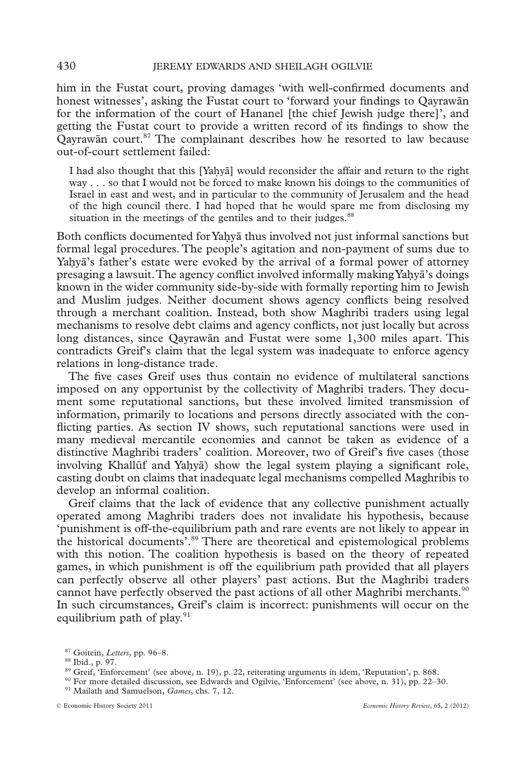him in the Fustat court, proving damages 'with well-confirmed documents and honest witnesses', asking the Fustat court to 'forward your findings to Oavrawān for the information of the court of Hananel [the chief Jewish judge there]', and getting the Fustat court to provide a written record of its findings to show the Oavrawān court. $87$  The complainant describes how he resorted to law because out-of-court settlement failed:

I had also thought that this [Yaḥyā] would reconsider the affair and return to the right way . . . so that I would not be forced to make known his doings to the communities of Israel in east and west, and in particular to the community of Jerusalem and the head of the high council there. I had hoped that he would spare me from disclosing my situation in the meetings of the gentiles and to their judges.<sup>88</sup>

Both conflicts documented for Yahyā thus involved not just informal sanctions but<br>formal land are reduced Theoretel in relations and non-normal of same due to formal legal procedures. The people's agitation and non-payment of sums due to Yahyā's father's estate were evoked by the arrival of a formal power of attorney presaging a lawsuit. The agency conflict involved informally making Yaḥyā's doings<br>In sum in the wider community side by side with formally generating him to Iswish known in the wider community side-by-side with formally reporting him to Jewish and Muslim judges. Neither document shows agency conflicts being resolved through a merchant coalition. Instead, both show Maghribi traders using legal mechanisms to resolve debt claims and agency conflicts, not just locally but across long distances, since Qayrawān and Fustat were some 1,300 miles apart. This contradicts Greif's claim that the legal system was inadequate to enforce agency relations in long-distance trade.

The five cases Greif uses thus contain no evidence of multilateral sanctions imposed on any opportunist by the collectivity of Maghribi traders. They document some reputational sanctions, but these involved limited transmission of information, primarily to locations and persons directly associated with the conflicting parties. As section IV shows, such reputational sanctions were used in many medieval mercantile economies and cannot be taken as evidence of a distinctive Maghribi traders' coalition. Moreover, two of Greif's five cases (those involving Khallūf and Yahyā) show the legal system playing a significant role, casting doubt on claims that inadequate legal mechanisms compelled Maghribis to develop an informal coalition.

Greif claims that the lack of evidence that any collective punishment actually operated among Maghribi traders does not invalidate his hypothesis, because 'punishment is off-the-equilibrium path and rare events are not likely to appear in the historical documents'.89 There are theoretical and epistemological problems with this notion. The coalition hypothesis is based on the theory of repeated games, in which punishment is off the equilibrium path provided that all players can perfectly observe all other players' past actions. But the Maghribi traders cannot have perfectly observed the past actions of all other Maghribi merchants.<sup>90</sup> In such circumstances, Greif's claim is incorrect: punishments will occur on the equilibrium path of play.<sup>91</sup>

<sup>87</sup> Goitein, *Letters*, pp. 96–8.

<sup>88</sup> Ibid., p. 97.

<sup>89</sup> Greif, 'Enforcement' (see above, n. 19), p. 22, reiterating arguments in idem, 'Reputation', p. 868.

<sup>90</sup> For more detailed discussion, see Edwards and Ogilvie, 'Enforcement' (see above, n. 31), pp. 22–30. <sup>91</sup> Mailath and Samuelson, *Games*, chs. 7, 12.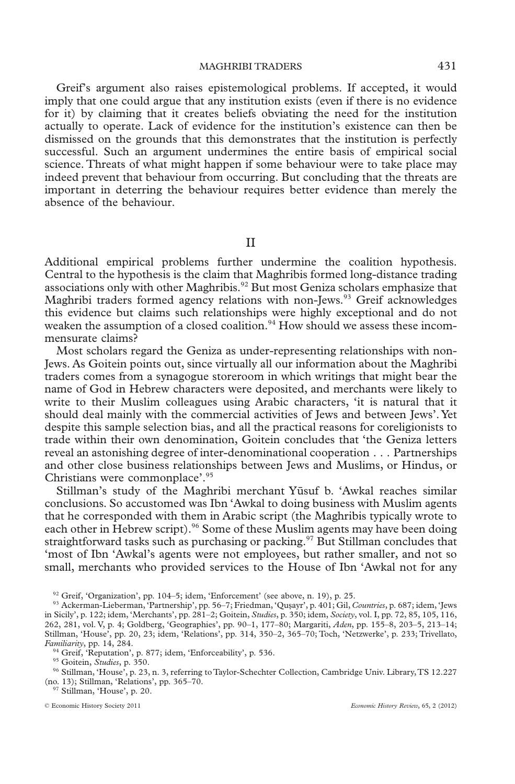#### MAGHRIBI TRADERS 431

Greif's argument also raises epistemological problems. If accepted, it would imply that one could argue that any institution exists (even if there is no evidence for it) by claiming that it creates beliefs obviating the need for the institution actually to operate. Lack of evidence for the institution's existence can then be dismissed on the grounds that this demonstrates that the institution is perfectly successful. Such an argument undermines the entire basis of empirical social science. Threats of what might happen if some behaviour were to take place may indeed prevent that behaviour from occurring. But concluding that the threats are important in deterring the behaviour requires better evidence than merely the absence of the behaviour.

II

Additional empirical problems further undermine the coalition hypothesis. Central to the hypothesis is the claim that Maghribis formed long-distance trading associations only with other Maghribis.<sup>92</sup> But most Geniza scholars emphasize that Maghribi traders formed agency relations with non-Jews.<sup>93</sup> Greif acknowledges this evidence but claims such relationships were highly exceptional and do not weaken the assumption of a closed coalition.<sup>94</sup> How should we assess these incommensurate claims?

Most scholars regard the Geniza as under-representing relationships with non-Jews. As Goitein points out, since virtually all our information about the Maghribi traders comes from a synagogue storeroom in which writings that might bear the name of God in Hebrew characters were deposited, and merchants were likely to write to their Muslim colleagues using Arabic characters, 'it is natural that it should deal mainly with the commercial activities of Jews and between Jews'. Yet despite this sample selection bias, and all the practical reasons for coreligionists to trade within their own denomination, Goitein concludes that 'the Geniza letters reveal an astonishing degree of inter-denominational cooperation . . . Partnerships and other close business relationships between Jews and Muslims, or Hindus, or Christians were commonplace'.<sup>95</sup>

Stillman's study of the Maghribi merchant Yūsuf b. 'Awkal reaches similar conclusions. So accustomed was Ibn 'Awkal to doing business with Muslim agents that he corresponded with them in Arabic script (the Maghribis typically wrote to each other in Hebrew script).<sup>96</sup> Some of these Muslim agents may have been doing straightforward tasks such as purchasing or packing.<sup>97</sup> But Stillman concludes that 'most of Ibn 'Awkal's agents were not employees, but rather smaller, and not so small, merchants who provided services to the House of Ibn 'Awkal not for any

<sup>97</sup> Stillman, 'House', p. 20.

<sup>92</sup> Greif, 'Organization', pp. 104–5; idem, 'Enforcement' (see above, n. 19), p. 25.

<sup>&</sup>lt;sup>93</sup> Ackerman-Lieberman, 'Partnership', pp. 56–7; Friedman, 'Qusayr', p. 401; Gil, *Countries*, p. 687; idem, 'Jews<br>City de la countries de la countries de la countries de la countries de la countries de la countries de la in Sicily', p. 122; idem, 'Merchants', pp. 281–2; Goitein, *Studies*, p. 350; idem, *Society*, vol. I, pp. 72, 85, 105, 116, 262, 281, vol. V, p. 4; Goldberg, 'Geographies', pp. 90–1, 177–80; Margariti, *Aden*, pp. 155–8, 203–5, 213–14; Stillman, 'House', pp. 20, 23; idem, 'Relations', pp. 314, 350–2, 365–70; Toch, 'Netzwerke', p. 233; Trivellato, *Familiarity*, pp. 14, 284.

<sup>&</sup>lt;sup>94</sup> Greif, 'Reputation', p. 877; idem, 'Enforceability', p. 536.

<sup>95</sup> Goitein, *Studies*, p. 350.

<sup>96</sup> Stillman, 'House', p. 23, n. 3, referring to Taylor-Schechter Collection, Cambridge Univ. Library,TS 12.227 (no. 13); Stillman, 'Relations', pp. 365–70.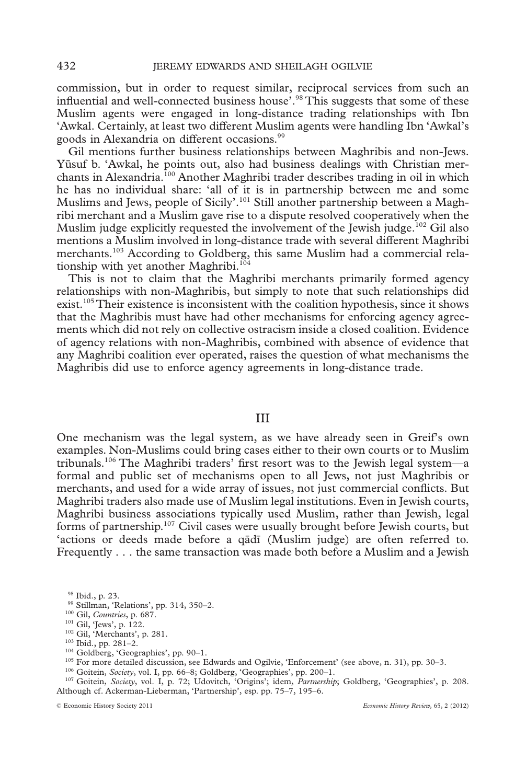commission, but in order to request similar, reciprocal services from such an influential and well-connected business house<sup> $2.98$ </sup> This suggests that some of these Muslim agents were engaged in long-distance trading relationships with Ibn 'Awkal. Certainly, at least two different Muslim agents were handling Ibn 'Awkal's goods in Alexandria on different occasions.<sup>99</sup>

Gil mentions further business relationships between Maghribis and non-Jews. Yūsuf b. 'Awkal, he points out, also had business dealings with Christian merchants in Alexandria.100 Another Maghribi trader describes trading in oil in which he has no individual share: 'all of it is in partnership between me and some Muslims and Jews, people of Sicily'.101 Still another partnership between a Maghribi merchant and a Muslim gave rise to a dispute resolved cooperatively when the Muslim judge explicitly requested the involvement of the Jewish judge.<sup>102</sup> Gil also mentions a Muslim involved in long-distance trade with several different Maghribi merchants.103 According to Goldberg, this same Muslim had a commercial relationship with yet another Maghribi.<sup>104</sup>

This is not to claim that the Maghribi merchants primarily formed agency relationships with non-Maghribis, but simply to note that such relationships did exist.<sup>105</sup> Their existence is inconsistent with the coalition hypothesis, since it shows that the Maghribis must have had other mechanisms for enforcing agency agreements which did not rely on collective ostracism inside a closed coalition. Evidence of agency relations with non-Maghribis, combined with absence of evidence that any Maghribi coalition ever operated, raises the question of what mechanisms the Maghribis did use to enforce agency agreements in long-distance trade.

#### III

One mechanism was the legal system, as we have already seen in Greif's own examples. Non-Muslims could bring cases either to their own courts or to Muslim tribunals.106 The Maghribi traders' first resort was to the Jewish legal system—a formal and public set of mechanisms open to all Jews, not just Maghribis or merchants, and used for a wide array of issues, not just commercial conflicts. But Maghribi traders also made use of Muslim legal institutions. Even in Jewish courts, Maghribi business associations typically used Muslim, rather than Jewish, legal forms of partnership.107 Civil cases were usually brought before Jewish courts, but 'actions or deeds made before a qadī (Muslim judge) are often referred to. Frequently . . . the same transaction was made both before a Muslim and a Jewish

<sup>99</sup> Stillman, 'Relations', pp. 314, 350–2.

- <sup>102</sup> Gil, 'Merchants', p. 281.
- <sup>103</sup> Ibid., pp. 281–2.
- <sup>104</sup> Goldberg, 'Geographies', pp. 90–1.
- 105 For more detailed discussion, see Edwards and Ogilvie, 'Enforcement' (see above, n. 31), pp. 30-3.
- <sup>106</sup> Goitein, *Society*, vol. I, pp. 66–8; Goldberg, 'Geographies', pp. 200–1.

<sup>107</sup> Goitein, *Society*, vol. I, p. 72; Udovitch, 'Origins'; idem, *Partnership*; Goldberg, 'Geographies', p. 208. Although cf. Ackerman-Lieberman, 'Partnership', esp. pp. 75–7, 195–6.

<sup>98</sup> Ibid., p. 23.

<sup>100</sup> Gil, *Countries*, p. 687.

<sup>101</sup> Gil, 'Jews', p. 122.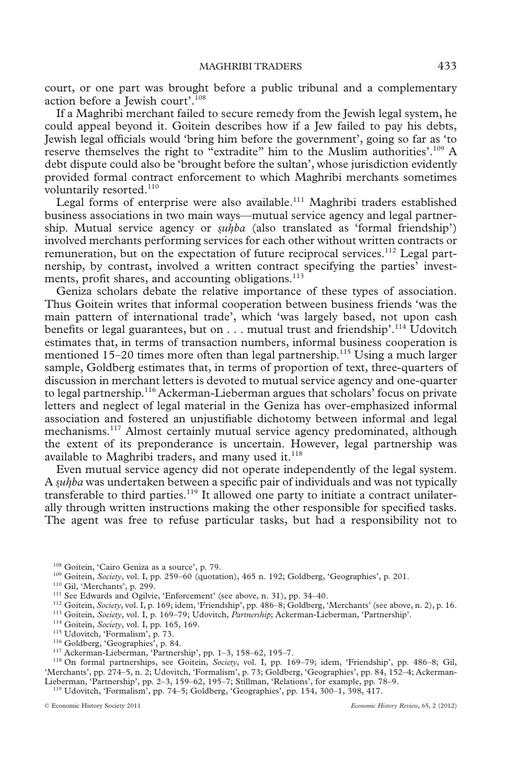court, or one part was brought before a public tribunal and a complementary action before a Jewish court'.108

If a Maghribi merchant failed to secure remedy from the Jewish legal system, he could appeal beyond it. Goitein describes how if a Jew failed to pay his debts, Jewish legal officials would 'bring him before the government', going so far as 'to reserve themselves the right to "extradite" him to the Muslim authorities'.<sup>109</sup> A debt dispute could also be 'brought before the sultan', whose jurisdiction evidently provided formal contract enforcement to which Maghribi merchants sometimes voluntarily resorted.<sup>110</sup>

Legal forms of enterprise were also available.<sup>111</sup> Maghribi traders established business associations in two main ways—mutual service agency and legal partnership. Mutual service agency or *suhba* (also translated as 'formal friendship') involved merchants performing services for each other without written contracts or remuneration, but on the expectation of future reciprocal services.<sup>112</sup> Legal partnership, by contrast, involved a written contract specifying the parties' investments, profit shares, and accounting obligations.<sup>113</sup>

Geniza scholars debate the relative importance of these types of association. Thus Goitein writes that informal cooperation between business friends 'was the main pattern of international trade', which 'was largely based, not upon cash benefits or legal guarantees, but on . . . mutual trust and friendship'.<sup>114</sup> Udovitch estimates that, in terms of transaction numbers, informal business cooperation is mentioned 15–20 times more often than legal partnership.<sup>115</sup> Using a much larger sample, Goldberg estimates that, in terms of proportion of text, three-quarters of discussion in merchant letters is devoted to mutual service agency and one-quarter to legal partnership.116 Ackerman-Lieberman argues that scholars' focus on private letters and neglect of legal material in the Geniza has over-emphasized informal association and fostered an unjustifiable dichotomy between informal and legal mechanisms.117 Almost certainly mutual service agency predominated, although the extent of its preponderance is uncertain. However, legal partnership was available to Maghribi traders, and many used it.<sup>118</sup>

Even mutual service agency did not operate independently of the legal system. A *suhba* was undertaken between a specific pair of individuals and was not typically A *sunod* was undertaken between a specific part of individuals and was not typically transferable to third parties.<sup>119</sup> It allowed one party to initiate a contract unilaterally through written instructions making the other responsible for specified tasks. The agent was free to refuse particular tasks, but had a responsibility not to

<sup>116</sup> Goldberg, 'Geographies', p. 84.

<sup>118</sup> On formal partnerships, see Goitein, *Society*, vol. I, pp. 169–79; idem, 'Friendship', pp. 486–8; Gil, 'Merchants', pp. 274–5, n. 2; Udovitch, 'Formalism', p. 73; Goldberg, 'Geographies', pp. 84, 152–4; Ackerman-Lieberman, 'Partnership', pp. 2–3, 159–62, 195–7; Stillman, 'Relations', for example, pp. 78–9.

<sup>119</sup> Udovitch, 'Formalism', pp. 74–5; Goldberg, 'Geographies', pp. 154, 300–1, 398, 417.

<sup>108</sup> Goitein, 'Cairo Geniza as a source', p. 79.

<sup>109</sup> Goitein, *Society*, vol. I, pp. 259–60 (quotation), 465 n. 192; Goldberg, 'Geographies', p. 201.

<sup>110</sup> Gil, 'Merchants', p. 299.

<sup>&</sup>lt;sup>111</sup> See Edwards and Ogilvie, 'Enforcement' (see above, n. 31), pp. 34-40.

<sup>112</sup> Goitein, *Society*, vol. I, p. 169; idem, 'Friendship', pp. 486–8; Goldberg, 'Merchants' (see above, n. 2), p. 16.

<sup>113</sup> Goitein, *Society*, vol. I, p. 169–79; Udovitch, *Partnership*; Ackerman-Lieberman, 'Partnership'.

<sup>114</sup> Goitein, *Society*, vol. I, pp. 165, 169.

<sup>115</sup> Udovitch, 'Formalism', p. 73.

<sup>117</sup> Ackerman-Lieberman, 'Partnership', pp. 1–3, 158–62, 195–7.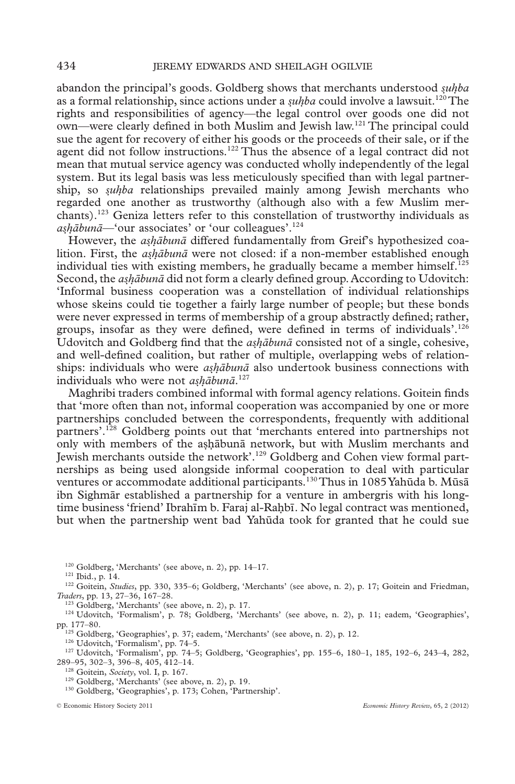abandon the principal's goods. Goldberg shows that merchants understood *suhba*<br> *para formal politicaling since actions under a with a sould involve a lemmit*  $\frac{120 \text{ Th}}{20}$ abandon the principal s goods. Goldberg shows that inerchants understood *sumpa*<br>as a formal relationship, since actions under a *suhba* could involve a lawsuit.<sup>120</sup> The as a formal relationship, since actions under a *sumpul* could involve a lawsuit. The rights and responsibilities of agency—the legal control over goods one did not own—were clearly defined in both Muslim and Jewish law.121 The principal could sue the agent for recovery of either his goods or the proceeds of their sale, or if the agent did not follow instructions.<sup>122</sup> Thus the absence of a legal contract did not mean that mutual service agency was conducted wholly independently of the legal system. But its legal basis was less meticulously specified than with legal partnership, so *suhba* relationships prevailed mainly among Jewish merchants who sinp, so *sunpa* relationships prevalled mailing among jewish inerchalits who regarded one another as trustworthy (although also with a few Muslim merchants).<sup>123</sup> Geniza letters refer to this constellation of trustworthy individuals as ashābunā—'our associates' or 'our colleagues'.<sup>124</sup><br> **I** Laurence the sale in its different for demonstrally

*abuna*— our associates or our coneagues .<br>
However, the *ashabuna* differed fundamentally from Greif's hypothesized coa-<br> *in* First the sale two straining was not closed: if a non-mamber attachies democrat lition. First, the *ashābunā* were not closed: if a non-member established enough<br>in dividual ties with existing magnham has an dually hacenee a magnham himself 125 individual ties with existing members, he gradually became a member himself.<sup>125</sup> individual ties with existing members, he gradually became a member himself.<sup>125</sup> Second, the *ashabuna* did not form a clearly defined group. According to Udovitch: 'Informal business cooperation was a constellation of individual relationships whose skeins could tie together a fairly large number of people; but these bonds were never expressed in terms of membership of a group abstractly defined; rather, groups, insofar as they were defined, were defined in terms of individuals'.<sup>126</sup> Udovitch and Goldberg find that the *ashabuna* consisted not of a single, cohesive, Duborten and Goldberg lind that the *ashabina* consisted not of a single, conesive, and well-defined coalition, but rather of multiple, overlapping webs of relationships: individuals who were  $a_5h\bar{a}bun\bar{a}$  also undertook business connections with *individuals who were <i>aspabuna*<br> *individuals who were not <i>ashabuna*<sup>127</sup><br> *Machrili tradare combined informed* 

Maghribi traders combined informal with formal agency relations. Goitein finds that 'more often than not, informal cooperation was accompanied by one or more partnerships concluded between the correspondents, frequently with additional partners'.<sup>128</sup> Goldberg points out that 'merchants entered into partnerships not only with members of the ashābunā network, but with Muslim merchants and<br>Issued memberts sutside the natural: <sup>129</sup> Caldbans and Caban visur famul network only with members of the aspabilita hetwork, but with Mushin merchants and<br>Jewish merchants outside the network'.<sup>129</sup> Goldberg and Cohen view formal partnerships as being used alongside informal cooperation to deal with particular ventures or accommodate additional participants.<sup>130</sup> Thus in 1085 Yahūda b. Mūsā ibn Sighmār established a partnership for a venture in ambergris with his longtime business 'friend' Ibrahīm b. Faraj al-Raḥbī. No legal contract was mentioned, but when the partnership went bad Yahūda took for granted that he could sue

<sup>120</sup> Goldberg, 'Merchants' (see above, n. 2), pp. 14–17.

<sup>121</sup> Ibid., p. 14.

<sup>122</sup> Goitein, *Studies*, pp. 330, 335-6; Goldberg, 'Merchants' (see above, n. 2), p. 17; Goitein and Friedman, *Traders*, pp. 13, 27–36, 167–28.

<sup>123</sup> Goldberg, 'Merchants' (see above, n. 2), p. 17.

<sup>125</sup> Goldberg, 'Geographies', p. 37; eadem, 'Merchants' (see above, n. 2), p. 12.

<sup>126</sup> Udovitch, 'Formalism', pp. 74–5.

<sup>127</sup> Udovitch, 'Formalism', pp. 74–5; Goldberg, 'Geographies', pp. 155–6, 180–1, 185, 192–6, 243–4, 282, 289–95, 302–3, 396–8, 405, 412–14.

<sup>128</sup> Goitein, *Society*, vol. I, p. 167.

<sup>129</sup> Goldberg, 'Merchants' (see above, n. 2), p. 19.

<sup>130</sup> Goldberg, 'Geographies', p. 173; Cohen, 'Partnership'.

<sup>124</sup> Udovitch, 'Formalism', p. 78; Goldberg, 'Merchants' (see above, n. 2), p. 11; eadem, 'Geographies', pp. 177–80.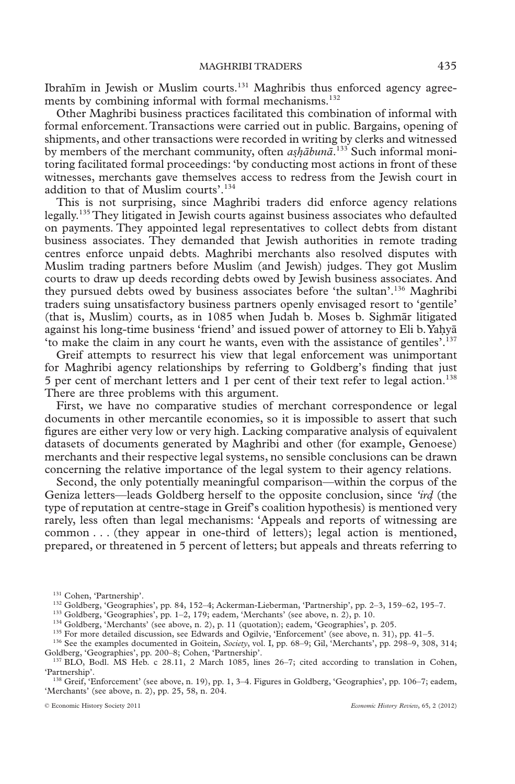Ibrahīm in Jewish or Muslim courts.<sup>131</sup> Maghribis thus enforced agency agreements by combining informal with formal mechanisms.<sup>132</sup>

Other Maghribi business practices facilitated this combination of informal with formal enforcement.Transactions were carried out in public. Bargains, opening of shipments, and other transactions were recorded in writing by clerks and witnessed by members of the merchant community, often  $a sh\bar{a}bun\bar{a}$ .<sup>133</sup> Such informal moniby inembers of the merchant community, often *aspabina*. Such informal mom-<br>toring facilitated formal proceedings: 'by conducting most actions in front of these witnesses, merchants gave themselves access to redress from the Jewish court in addition to that of Muslim courts'.134

This is not surprising, since Maghribi traders did enforce agency relations legally.135They litigated in Jewish courts against business associates who defaulted on payments. They appointed legal representatives to collect debts from distant business associates. They demanded that Jewish authorities in remote trading centres enforce unpaid debts. Maghribi merchants also resolved disputes with Muslim trading partners before Muslim (and Jewish) judges. They got Muslim courts to draw up deeds recording debts owed by Jewish business associates. And they pursued debts owed by business associates before 'the sultan'.136 Maghribi traders suing unsatisfactory business partners openly envisaged resort to 'gentile' (that is, Muslim) courts, as in  $1085$  when Judah b. Moses b. Sighmar litigated against his long-time business 'friend' and issued power of attorney to Eli b. Yahyā 'to make the claim in any court he wants, even with the assistance of gentiles'.<sup>137</sup>

Greif attempts to resurrect his view that legal enforcement was unimportant for Maghribi agency relationships by referring to Goldberg's finding that just 5 per cent of merchant letters and 1 per cent of their text refer to legal action.138 There are three problems with this argument.

First, we have no comparative studies of merchant correspondence or legal documents in other mercantile economies, so it is impossible to assert that such figures are either very low or very high. Lacking comparative analysis of equivalent datasets of documents generated by Maghribi and other (for example, Genoese) merchants and their respective legal systems, no sensible conclusions can be drawn concerning the relative importance of the legal system to their agency relations.

Second, the only potentially meaningful comparison—within the corpus of the Geniza letters—leads Goldberg herself to the opposite conclusion, since *'ird·* (the type of reputation at centre-stage in Greif's coalition hypothesis) is mentioned very rarely, less often than legal mechanisms: 'Appeals and reports of witnessing are common . . . (they appear in one-third of letters); legal action is mentioned, prepared, or threatened in 5 percent of letters; but appeals and threats referring to

<sup>&</sup>lt;sup>131</sup> Cohen, 'Partnership'.

<sup>132</sup> Goldberg, 'Geographies', pp. 84, 152–4; Ackerman-Lieberman, 'Partnership', pp. 2–3, 159–62, 195–7.

<sup>&</sup>lt;sup>133</sup> Goldberg, 'Geographies', pp. 1-2, 179; eadem, 'Merchants' (see above, n. 2), p. 10.

<sup>&</sup>lt;sup>134</sup> Goldberg, 'Merchants' (see above, n. 2), p. 11 (quotation); eadem, 'Geographies', p. 205.

<sup>135</sup> For more detailed discussion, see Edwards and Ogilvie, 'Enforcement' (see above, n. 31), pp. 41-5.

<sup>136</sup> See the examples documented in Goitein, *Society*, vol. I, pp. 68–9; Gil, 'Merchants', pp. 298–9, 308, 314; Goldberg, 'Geographies', pp. 200–8; Cohen, 'Partnership'.

<sup>137</sup> BLO, Bodl. MS Heb. c 28.11, 2 March 1085, lines 26–7; cited according to translation in Cohen, 'Partnership'.

<sup>138</sup> Greif, 'Enforcement' (see above, n. 19), pp. 1, 3–4. Figures in Goldberg, 'Geographies', pp. 106–7; eadem, 'Merchants' (see above, n. 2), pp. 25, 58, n. 204.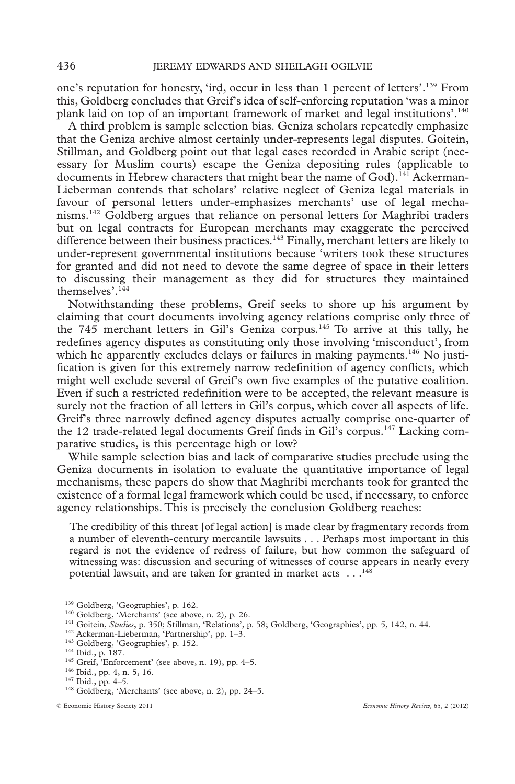one's reputation for honesty, 'ird, occur in less than 1 percent of letters'.<sup>139</sup> From this, Goldberg concludes that Greif's idea of self-enforcing reputation 'was a minor plank laid on top of an important framework of market and legal institutions'.140

A third problem is sample selection bias. Geniza scholars repeatedly emphasize that the Geniza archive almost certainly under-represents legal disputes. Goitein, Stillman, and Goldberg point out that legal cases recorded in Arabic script (necessary for Muslim courts) escape the Geniza depositing rules (applicable to documents in Hebrew characters that might bear the name of God).<sup>141</sup> Ackerman-Lieberman contends that scholars' relative neglect of Geniza legal materials in favour of personal letters under-emphasizes merchants' use of legal mechanisms.142 Goldberg argues that reliance on personal letters for Maghribi traders but on legal contracts for European merchants may exaggerate the perceived difference between their business practices.<sup>143</sup> Finally, merchant letters are likely to under-represent governmental institutions because 'writers took these structures for granted and did not need to devote the same degree of space in their letters to discussing their management as they did for structures they maintained themselves'.144

Notwithstanding these problems, Greif seeks to shore up his argument by claiming that court documents involving agency relations comprise only three of the 745 merchant letters in Gil's Geniza corpus.145 To arrive at this tally, he redefines agency disputes as constituting only those involving 'misconduct', from which he apparently excludes delays or failures in making payments.<sup>146</sup> No justification is given for this extremely narrow redefinition of agency conflicts, which might well exclude several of Greif's own five examples of the putative coalition. Even if such a restricted redefinition were to be accepted, the relevant measure is surely not the fraction of all letters in Gil's corpus, which cover all aspects of life. Greif's three narrowly defined agency disputes actually comprise one-quarter of the 12 trade-related legal documents Greif finds in Gil's corpus.<sup>147</sup> Lacking comparative studies, is this percentage high or low?

While sample selection bias and lack of comparative studies preclude using the Geniza documents in isolation to evaluate the quantitative importance of legal mechanisms, these papers do show that Maghribi merchants took for granted the existence of a formal legal framework which could be used, if necessary, to enforce agency relationships. This is precisely the conclusion Goldberg reaches:

The credibility of this threat [of legal action] is made clear by fragmentary records from a number of eleventh-century mercantile lawsuits...Perhaps most important in this regard is not the evidence of redress of failure, but how common the safeguard of witnessing was: discussion and securing of witnesses of course appears in nearly every potential lawsuit, and are taken for granted in market acts  $\dots$ .<sup>148</sup>

<sup>&</sup>lt;sup>139</sup> Goldberg, 'Geographies', p. 162.

<sup>140</sup> Goldberg, 'Merchants' (see above, n. 2), p. 26.

<sup>&</sup>lt;sup>141</sup> Goitein, *Studies*, p. 350; Stillman, 'Relations', p. 58; Goldberg, 'Geographies', pp. 5, 142, n. 44.

<sup>142</sup> Ackerman-Lieberman, 'Partnership', pp. 1–3.

<sup>&</sup>lt;sup>143</sup> Goldberg, 'Geographies', p. 152.

<sup>144</sup> Ibid., p. 187.

<sup>145</sup> Greif, 'Enforcement' (see above, n. 19), pp. 4–5.

<sup>146</sup> Ibid., pp. 4, n. 5, 16.

<sup>147</sup> Ibid., pp. 4–5.

<sup>&</sup>lt;sup>148</sup> Goldberg, 'Merchants' (see above, n. 2), pp. 24-5.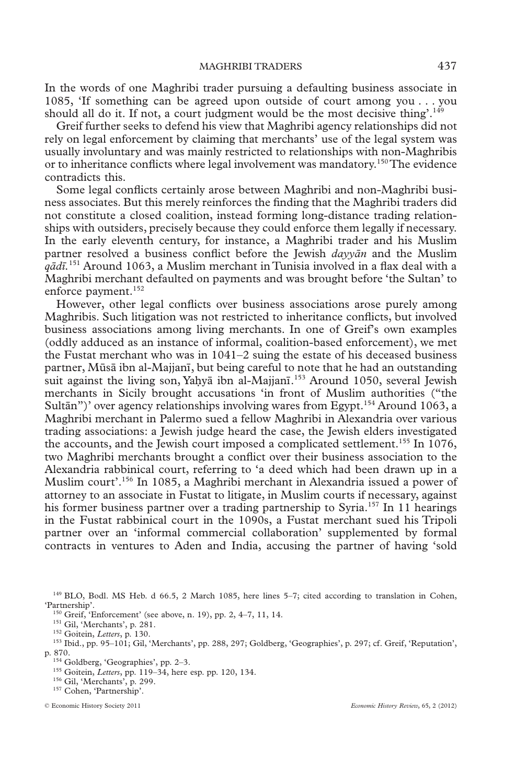In the words of one Maghribi trader pursuing a defaulting business associate in 1085, 'If something can be agreed upon outside of court among you . . . you should all do it. If not, a court judgment would be the most decisive thing'.<sup>149</sup>

Greif further seeks to defend his view that Maghribi agency relationships did not rely on legal enforcement by claiming that merchants' use of the legal system was usually involuntary and was mainly restricted to relationships with non-Maghribis or to inheritance conflicts where legal involvement was mandatory.<sup>150</sup>The evidence contradicts this.

Some legal conflicts certainly arose between Maghribi and non-Maghribi business associates. But this merely reinforces the finding that the Maghribi traders did not constitute a closed coalition, instead forming long-distance trading relationships with outsiders, precisely because they could enforce them legally if necessary. In the early eleventh century, for instance, a Maghribi trader and his Muslim partner resolved a business conflict before the Jewish *dayyan* and the Muslim  $q\bar{a}d\bar{t}$ .<sup>151</sup> Around 1063, a Muslim merchant in Tunisia involved in a flax deal with a Maghribi merchant defaulted on payments and was brought before 'the Sultan' to enforce payment.<sup>152</sup>

However, other legal conflicts over business associations arose purely among Maghribis. Such litigation was not restricted to inheritance conflicts, but involved business associations among living merchants. In one of Greif's own examples (oddly adduced as an instance of informal, coalition-based enforcement), we met the Fustat merchant who was in 1041–2 suing the estate of his deceased business partner, Mūsā ibn al-Majjanī, but being careful to note that he had an outstanding suit against the living son, Yahyā ibn al-Majjanī.<sup>153</sup> Around 1050, several Jewish merchants in Sicily brought accusations 'in front of Muslim authorities ("the Sultān")' over agency relationships involving wares from Egypt.<sup>154</sup> Around 1063, a Maghribi merchant in Palermo sued a fellow Maghribi in Alexandria over various trading associations: a Jewish judge heard the case, the Jewish elders investigated the accounts, and the Jewish court imposed a complicated settlement.<sup>155</sup> In 1076, two Maghribi merchants brought a conflict over their business association to the Alexandria rabbinical court, referring to 'a deed which had been drawn up in a Muslim court'.156 In 1085, a Maghribi merchant in Alexandria issued a power of attorney to an associate in Fustat to litigate, in Muslim courts if necessary, against his former business partner over a trading partnership to Syria.<sup>157</sup> In 11 hearings in the Fustat rabbinical court in the 1090s, a Fustat merchant sued his Tripoli partner over an 'informal commercial collaboration' supplemented by formal contracts in ventures to Aden and India, accusing the partner of having 'sold

<sup>149</sup> BLO, Bodl. MS Heb. d 66.5, 2 March 1085, here lines 5–7; cited according to translation in Cohen, 'Partnership'.

<sup>150</sup> Greif, 'Enforcement' (see above, n. 19), pp. 2, 4–7, 11, 14.

<sup>151</sup> Gil, 'Merchants', p. 281.

<sup>152</sup> Goitein, *Letters*, p. 130.

<sup>153</sup> Ibid., pp. 95–101; Gil, 'Merchants', pp. 288, 297; Goldberg, 'Geographies', p. 297; cf. Greif, 'Reputation', p. 870.

<sup>154</sup> Goldberg, 'Geographies', pp. 2–3.

<sup>155</sup> Goitein, *Letters*, pp. 119–34, here esp. pp. 120, 134.

<sup>156</sup> Gil, 'Merchants', p. 299.

<sup>157</sup> Cohen, 'Partnership'.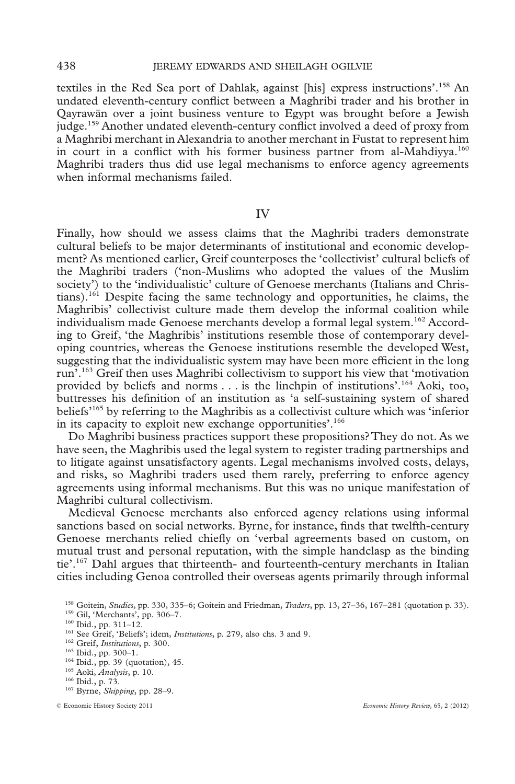textiles in the Red Sea port of Dahlak, against [his] express instructions'.158 An undated eleventh-century conflict between a Maghribi trader and his brother in Qayrawān over a joint business venture to Egypt was brought before a Jewish judge.159 Another undated eleventh-century conflict involved a deed of proxy from a Maghribi merchant in Alexandria to another merchant in Fustat to represent him in court in a conflict with his former business partner from al-Mahdiyya.<sup>160</sup> Maghribi traders thus did use legal mechanisms to enforce agency agreements when informal mechanisms failed.

#### IV

Finally, how should we assess claims that the Maghribi traders demonstrate cultural beliefs to be major determinants of institutional and economic development? As mentioned earlier, Greif counterposes the 'collectivist' cultural beliefs of the Maghribi traders ('non-Muslims who adopted the values of the Muslim society') to the 'individualistic' culture of Genoese merchants (Italians and Christians).161 Despite facing the same technology and opportunities, he claims, the Maghribis' collectivist culture made them develop the informal coalition while individualism made Genoese merchants develop a formal legal system.<sup>162</sup> According to Greif, 'the Maghribis' institutions resemble those of contemporary developing countries, whereas the Genoese institutions resemble the developed West, suggesting that the individualistic system may have been more efficient in the long run'.163 Greif then uses Maghribi collectivism to support his view that 'motivation provided by beliefs and norms  $\dots$  is the linchpin of institutions'.<sup>164</sup> Aoki, too, buttresses his definition of an institution as 'a self-sustaining system of shared beliefs'165 by referring to the Maghribis as a collectivist culture which was 'inferior in its capacity to exploit new exchange opportunities'.<sup>166</sup>

Do Maghribi business practices support these propositions? They do not. As we have seen, the Maghribis used the legal system to register trading partnerships and to litigate against unsatisfactory agents. Legal mechanisms involved costs, delays, and risks, so Maghribi traders used them rarely, preferring to enforce agency agreements using informal mechanisms. But this was no unique manifestation of Maghribi cultural collectivism.

Medieval Genoese merchants also enforced agency relations using informal sanctions based on social networks. Byrne, for instance, finds that twelfth-century Genoese merchants relied chiefly on 'verbal agreements based on custom, on mutual trust and personal reputation, with the simple handclasp as the binding tie'.167 Dahl argues that thirteenth- and fourteenth-century merchants in Italian cities including Genoa controlled their overseas agents primarily through informal

<sup>158</sup> Goitein, *Studies*, pp. 330, 335–6; Goitein and Friedman, *Traders*, pp. 13, 27–36, 167–281 (quotation p. 33).

<sup>159</sup> Gil, 'Merchants', pp. 306–7.

<sup>160</sup> Ibid., pp. 311–12.

<sup>&</sup>lt;sup>161</sup> See Greif, 'Beliefs'; idem, *Institutions*, p. 279, also chs. 3 and 9.

<sup>162</sup> Greif, *Institutions*, p. 300.

<sup>163</sup> Ibid., pp. 300–1.

<sup>164</sup> Ibid., pp. 39 (quotation), 45.

<sup>165</sup> Aoki, *Analysis*, p. 10.

<sup>166</sup> Ibid., p. 73.

<sup>167</sup> Byrne, *Shipping*, pp. 28–9.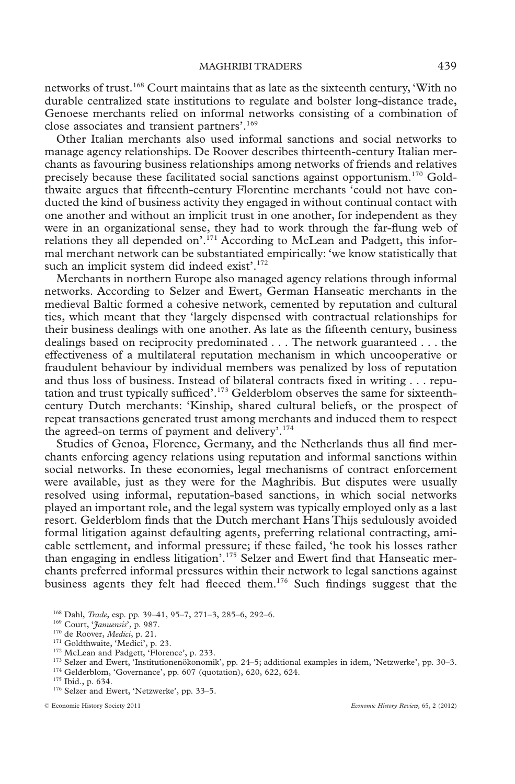networks of trust.168 Court maintains that as late as the sixteenth century, 'With no durable centralized state institutions to regulate and bolster long-distance trade, Genoese merchants relied on informal networks consisting of a combination of close associates and transient partners'.<sup>169</sup>

Other Italian merchants also used informal sanctions and social networks to manage agency relationships. De Roover describes thirteenth-century Italian merchants as favouring business relationships among networks of friends and relatives precisely because these facilitated social sanctions against opportunism.<sup>170</sup> Goldthwaite argues that fifteenth-century Florentine merchants 'could not have conducted the kind of business activity they engaged in without continual contact with one another and without an implicit trust in one another, for independent as they were in an organizational sense, they had to work through the far-flung web of relations they all depended on'.<sup>171</sup> According to McLean and Padgett, this informal merchant network can be substantiated empirically: 'we know statistically that such an implicit system did indeed exist'.<sup>172</sup>

Merchants in northern Europe also managed agency relations through informal networks. According to Selzer and Ewert, German Hanseatic merchants in the medieval Baltic formed a cohesive network, cemented by reputation and cultural ties, which meant that they 'largely dispensed with contractual relationships for their business dealings with one another. As late as the fifteenth century, business dealings based on reciprocity predominated . . . The network guaranteed . . . the effectiveness of a multilateral reputation mechanism in which uncooperative or fraudulent behaviour by individual members was penalized by loss of reputation and thus loss of business. Instead of bilateral contracts fixed in writing... reputation and trust typically sufficed'.173 Gelderblom observes the same for sixteenthcentury Dutch merchants: 'Kinship, shared cultural beliefs, or the prospect of repeat transactions generated trust among merchants and induced them to respect the agreed-on terms of payment and delivery'.<sup>174</sup>

Studies of Genoa, Florence, Germany, and the Netherlands thus all find merchants enforcing agency relations using reputation and informal sanctions within social networks. In these economies, legal mechanisms of contract enforcement were available, just as they were for the Maghribis. But disputes were usually resolved using informal, reputation-based sanctions, in which social networks played an important role, and the legal system was typically employed only as a last resort. Gelderblom finds that the Dutch merchant Hans Thijs sedulously avoided formal litigation against defaulting agents, preferring relational contracting, amicable settlement, and informal pressure; if these failed, 'he took his losses rather than engaging in endless litigation'.175 Selzer and Ewert find that Hanseatic merchants preferred informal pressures within their network to legal sanctions against business agents they felt had fleeced them.<sup>176</sup> Such findings suggest that the

- <sup>168</sup> Dahl, *Trade*, esp. pp. 39–41, 95–7, 271–3, 285–6, 292–6.
- <sup>169</sup> Court, '*Januensis*', p. 987.
- <sup>170</sup> de Roover, *Medici*, p. 21.
- <sup>171</sup> Goldthwaite, 'Medici', p. 23.
- <sup>172</sup> McLean and Padgett, 'Florence', p. 233.
- <sup>173</sup> Selzer and Ewert, 'Institutionenökonomik', pp. 24–5; additional examples in idem, 'Netzwerke', pp. 30–3.
- <sup>174</sup> Gelderblom, 'Governance', pp. 607 (quotation), 620, 622, 624.
- <sup>175</sup> Ibid., p. 634.
- <sup>176</sup> Selzer and Ewert, 'Netzwerke', pp. 33-5.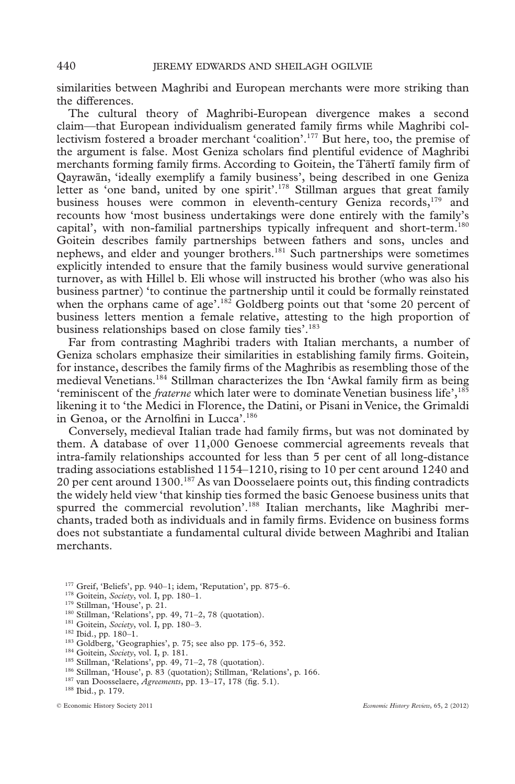similarities between Maghribi and European merchants were more striking than the differences.

The cultural theory of Maghribi-European divergence makes a second claim—that European individualism generated family firms while Maghribi collectivism fostered a broader merchant 'coalition'.177 But here, too, the premise of the argument is false. Most Geniza scholars find plentiful evidence of Maghribi merchants forming family firms. According to Goitein, the Taherti family firm of Qayrawān, 'ideally exemplify a family business', being described in one Geniza letter as 'one band, united by one spirit'.<sup>178</sup> Stillman argues that great family business houses were common in eleventh-century Geniza records,<sup>179</sup> and recounts how 'most business undertakings were done entirely with the family's capital', with non-familial partnerships typically infrequent and short-term.<sup>180</sup> Goitein describes family partnerships between fathers and sons, uncles and nephews, and elder and younger brothers.181 Such partnerships were sometimes explicitly intended to ensure that the family business would survive generational turnover, as with Hillel b. Eli whose will instructed his brother (who was also his business partner) 'to continue the partnership until it could be formally reinstated when the orphans came of age'.<sup>182</sup> Goldberg points out that 'some 20 percent of business letters mention a female relative, attesting to the high proportion of business relationships based on close family ties'.<sup>183</sup>

Far from contrasting Maghribi traders with Italian merchants, a number of Geniza scholars emphasize their similarities in establishing family firms. Goitein, for instance, describes the family firms of the Maghribis as resembling those of the medieval Venetians.184 Stillman characterizes the Ibn 'Awkal family firm as being 'reminiscent of the *fraterne* which later were to dominate Venetian business life',<sup>185</sup> likening it to 'the Medici in Florence, the Datini, or Pisani in Venice, the Grimaldi in Genoa, or the Arnolfini in Lucca'.186

Conversely, medieval Italian trade had family firms, but was not dominated by them. A database of over 11,000 Genoese commercial agreements reveals that intra-family relationships accounted for less than 5 per cent of all long-distance trading associations established 1154–1210, rising to 10 per cent around 1240 and 20 per cent around 1300.187 As van Doosselaere points out, this finding contradicts the widely held view 'that kinship ties formed the basic Genoese business units that spurred the commercial revolution'.<sup>188</sup> Italian merchants, like Maghribi merchants, traded both as individuals and in family firms. Evidence on business forms does not substantiate a fundamental cultural divide between Maghribi and Italian merchants.

177 Greif, 'Beliefs', pp. 940-1; idem, 'Reputation', pp. 875-6.

- <sup>178</sup> Goitein, *Society*, vol. I, pp. 180–1.
- <sup>179</sup> Stillman, 'House', p. 21.
- <sup>180</sup> Stillman, 'Relations', pp. 49, 71-2, 78 (quotation).
- <sup>181</sup> Goitein, *Society*, vol. I, pp. 180–3.
- <sup>182</sup> Ibid., pp. 180–1.
- <sup>183</sup> Goldberg, 'Geographies', p. 75; see also pp. 175–6, 352.
- <sup>184</sup> Goitein, *Society*, vol. I, p. 181.
- <sup>185</sup> Stillman, 'Relations', pp. 49, 71-2, 78 (quotation).
- <sup>186</sup> Stillman, 'House', p. 83 (quotation); Stillman, 'Relations', p. 166.
- <sup>187</sup> van Doosselaere, *Agreements*, pp. 13–17, 178 (fig. 5.1). <sup>188</sup> Ibid., p. 179.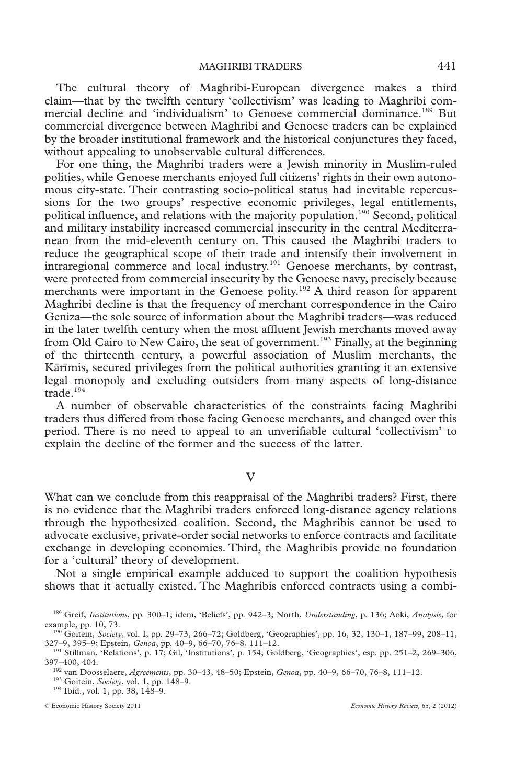The cultural theory of Maghribi-European divergence makes a third claim—that by the twelfth century 'collectivism' was leading to Maghribi commercial decline and 'individualism' to Genoese commercial dominance.189 But commercial divergence between Maghribi and Genoese traders can be explained by the broader institutional framework and the historical conjunctures they faced, without appealing to unobservable cultural differences.

For one thing, the Maghribi traders were a Jewish minority in Muslim-ruled polities, while Genoese merchants enjoyed full citizens' rights in their own autonomous city-state. Their contrasting socio-political status had inevitable repercussions for the two groups' respective economic privileges, legal entitlements, political influence, and relations with the majority population.<sup>190</sup> Second, political and military instability increased commercial insecurity in the central Mediterranean from the mid-eleventh century on. This caused the Maghribi traders to reduce the geographical scope of their trade and intensify their involvement in intraregional commerce and local industry.<sup>191</sup> Genoese merchants, by contrast, were protected from commercial insecurity by the Genoese navy, precisely because merchants were important in the Genoese polity.<sup>192</sup> A third reason for apparent Maghribi decline is that the frequency of merchant correspondence in the Cairo Geniza—the sole source of information about the Maghribi traders—was reduced in the later twelfth century when the most affluent Jewish merchants moved away from Old Cairo to New Cairo, the seat of government.<sup>193</sup> Finally, at the beginning of the thirteenth century, a powerful association of Muslim merchants, the Kārīmis, secured privileges from the political authorities granting it an extensive legal monopoly and excluding outsiders from many aspects of long-distance trade.194

A number of observable characteristics of the constraints facing Maghribi traders thus differed from those facing Genoese merchants, and changed over this period. There is no need to appeal to an unverifiable cultural 'collectivism' to explain the decline of the former and the success of the latter.

#### V

What can we conclude from this reappraisal of the Maghribi traders? First, there is no evidence that the Maghribi traders enforced long-distance agency relations through the hypothesized coalition. Second, the Maghribis cannot be used to advocate exclusive, private-order social networks to enforce contracts and facilitate exchange in developing economies. Third, the Maghribis provide no foundation for a 'cultural' theory of development.

Not a single empirical example adduced to support the coalition hypothesis shows that it actually existed. The Maghribis enforced contracts using a combi-

<sup>193</sup> Goitein, *Society*, vol. 1, pp. 148–9.

<sup>194</sup> Ibid., vol. 1, pp. 38, 148–9.

© Economic History Society 2011 *Economic History Review*, 65, 2 (2012)

<sup>189</sup> Greif, *Institutions*, pp. 300–1; idem, 'Beliefs', pp. 942–3; North, *Understanding*, p. 136; Aoki, *Analysis*, for example, pp. 10, 73.

<sup>190</sup> Goitein, *Society*, vol. I, pp. 29–73, 266–72; Goldberg, 'Geographies', pp. 16, 32, 130–1, 187–99, 208–11, 327–9, 395–9; Epstein, *Genoa*, pp. 40–9, 66–70, 76–8, 111–12.

<sup>191</sup> Stillman, 'Relations', p. 17; Gil, 'Institutions', p. 154; Goldberg, 'Geographies', esp. pp. 251–2, 269–306, 397–400, 404.

<sup>192</sup> van Doosselaere, *Agreements*, pp. 30–43, 48–50; Epstein, *Genoa*, pp. 40–9, 66–70, 76–8, 111–12.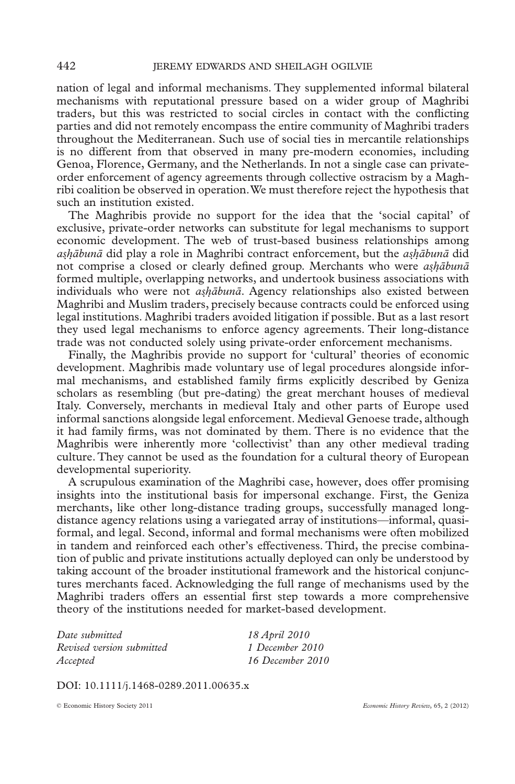nation of legal and informal mechanisms. They supplemented informal bilateral mechanisms with reputational pressure based on a wider group of Maghribi traders, but this was restricted to social circles in contact with the conflicting parties and did not remotely encompass the entire community of Maghribi traders throughout the Mediterranean. Such use of social ties in mercantile relationships is no different from that observed in many pre-modern economies, including Genoa, Florence, Germany, and the Netherlands. In not a single case can privateorder enforcement of agency agreements through collective ostracism by a Maghribi coalition be observed in operation.We must therefore reject the hypothesis that such an institution existed.

The Maghribis provide no support for the idea that the 'social capital' of exclusive, private-order networks can substitute for legal mechanisms to support economic development. The web of trust-based business relationships among *ashābunā* did play a role in Maghribi contract enforcement, but the *ashābunā* did not comprise a closed or clearly defined group. Merchants who were *ashabuna*<sup>5</sup> formed multiple, overlapping networks, and undertook business associations with individuals who were not *ashābunā*. Agency relationships also existed between<br>Mashajhi and Muslim the dans nuclearly hashane contracts could be enforced using *n* and will were not *ashabana*. Agency relationships also existed between<br>Maghribi and Muslim traders, precisely because contracts could be enforced using legal institutions. Maghribi traders avoided litigation if possible. But as a last resort they used legal mechanisms to enforce agency agreements. Their long-distance trade was not conducted solely using private-order enforcement mechanisms.

Finally, the Maghribis provide no support for 'cultural' theories of economic development. Maghribis made voluntary use of legal procedures alongside informal mechanisms, and established family firms explicitly described by Geniza scholars as resembling (but pre-dating) the great merchant houses of medieval Italy. Conversely, merchants in medieval Italy and other parts of Europe used informal sanctions alongside legal enforcement. Medieval Genoese trade, although it had family firms, was not dominated by them. There is no evidence that the Maghribis were inherently more 'collectivist' than any other medieval trading culture. They cannot be used as the foundation for a cultural theory of European developmental superiority.

A scrupulous examination of the Maghribi case, however, does offer promising insights into the institutional basis for impersonal exchange. First, the Geniza merchants, like other long-distance trading groups, successfully managed longdistance agency relations using a variegated array of institutions—informal, quasiformal, and legal. Second, informal and formal mechanisms were often mobilized in tandem and reinforced each other's effectiveness. Third, the precise combination of public and private institutions actually deployed can only be understood by taking account of the broader institutional framework and the historical conjunctures merchants faced. Acknowledging the full range of mechanisms used by the Maghribi traders offers an essential first step towards a more comprehensive theory of the institutions needed for market-based development.

*Date submitted 18 April 2010 Revised version submitted 1 December 2010 Accepted 16 December 2010*

DOI: 10.1111/j.1468-0289.2011.00635.x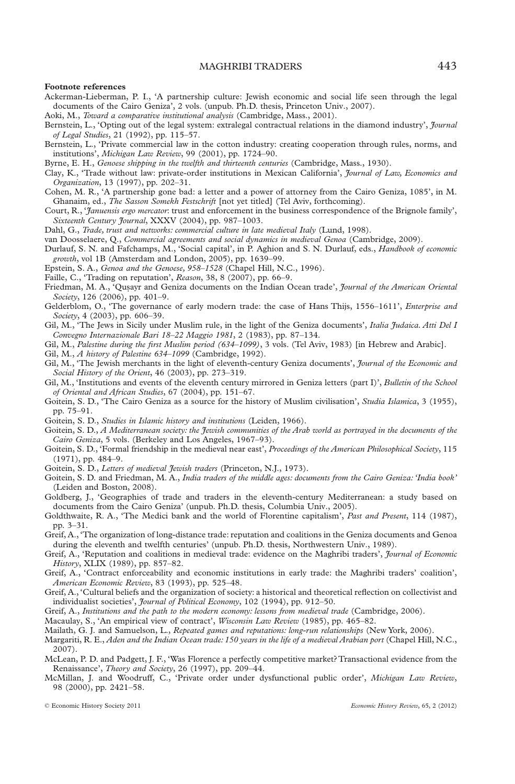#### MAGHRIBI TRADERS 443

#### **Footnote references**

- Ackerman-Lieberman, P. I., 'A partnership culture: Jewish economic and social life seen through the legal documents of the Cairo Geniza', 2 vols. (unpub. Ph.D. thesis, Princeton Univ., 2007).
- Aoki, M., *Toward a comparative institutional analysis* (Cambridge, Mass., 2001).
- Bernstein, L., 'Opting out of the legal system: extralegal contractual relations in the diamond industry', *Journal of Legal Studies*, 21 (1992), pp. 115–57.
- Bernstein, L., 'Private commercial law in the cotton industry: creating cooperation through rules, norms, and institutions', *Michigan Law Review*, 99 (2001), pp. 1724–90.
- Byrne, E. H., *Genoese shipping in the twelfth and thirteenth centuries* (Cambridge, Mass., 1930).
- Clay, K., 'Trade without law: private-order institutions in Mexican California', *Journal of Law, Economics and Organization*, 13 (1997), pp. 202–31.
- Cohen, M. R., 'A partnership gone bad: a letter and a power of attorney from the Cairo Geniza, 1085', in M. Ghanaim, ed., *The Sasson Somekh Festschrift* [not yet titled] (Tel Aviv, forthcoming).
- Court, R., '*Januensis ergo mercator*: trust and enforcement in the business correspondence of the Brignole family', *Sixteenth Century Journal*, XXXV (2004), pp. 987–1003.
- Dahl, G., *Trade, trust and networks: commercial culture in late medieval Italy* (Lund, 1998).
- van Doosselaere, Q., *Commercial agreements and social dynamics in medieval Genoa* (Cambridge, 2009).
- Durlauf, S. N. and Fafchamps, M., 'Social capital', in P. Aghion and S. N. Durlauf, eds., *Handbook of economic growth*, vol 1B (Amsterdam and London, 2005), pp. 1639–99.
- Epstein, S. A., *Genoa and the Genoese, 958–1528* (Chapel Hill, N.C., 1996).
- Faille, C., 'Trading on reputation', *Reason*, 38, 8 (2007), pp. 66–9.
- Friedman, M. A., 'Quṣayr and Geniza documents on the Indian Ocean trade', *Journal of the American Oriental Society*, 126 (2006), pp. 401–9.
- Gelderblom, O., 'The governance of early modern trade: the case of Hans Thijs, 1556–1611', *Enterprise and Society*, 4 (2003), pp. 606–39.
- Gil, M., 'The Jews in Sicily under Muslim rule, in the light of the Geniza documents', *Italia Judaica. Atti Del I Convegno Internazionale Bari 18–22 Maggio 1981*, 2 (1983), pp. 87–134.
- Gil, M., *Palestine during the first Muslim period (634–1099)*, 3 vols. (Tel Aviv, 1983) [in Hebrew and Arabic].
- Gil, M., *A history of Palestine 634–1099* (Cambridge, 1992).
- Gil, M., 'The Jewish merchants in the light of eleventh-century Geniza documents', *Journal of the Economic and Social History of the Orient*, 46 (2003), pp. 273–319.
- Gil, M., 'Institutions and events of the eleventh century mirrored in Geniza letters (part I)', *Bulletin of the School of Oriental and African Studies*, 67 (2004), pp. 151–67.
- Goitein, S. D., 'The Cairo Geniza as a source for the history of Muslim civilisation', *Studia Islamica*, 3 (1955), pp. 75–91.
- Goitein, S. D., *Studies in Islamic history and institutions* (Leiden, 1966).
- Goitein, S. D., *A Mediterranean society: the Jewish communities of the Arab world as portrayed in the documents of the Cairo Geniza*, 5 vols. (Berkeley and Los Angeles, 1967–93).
- Goitein, S. D., 'Formal friendship in the medieval near east', *Proceedings of the American Philosophical Society*, 115 (1971), pp. 484–9.
- Goitein, S. D., *Letters of medieval Jewish traders* (Princeton, N.J., 1973).
- Goitein, S. D. and Friedman, M. A., *India traders of the middle ages: documents from the Cairo Geniza:'India book'* (Leiden and Boston, 2008).
- Goldberg, J., 'Geographies of trade and traders in the eleventh-century Mediterranean: a study based on documents from the Cairo Geniza' (unpub. Ph.D. thesis, Columbia Univ., 2005).
- Goldthwaite, R. A., 'The Medici bank and the world of Florentine capitalism', *Past and Present*, 114 (1987), pp. 3–31.
- Greif, A., 'The organization of long-distance trade: reputation and coalitions in the Geniza documents and Genoa during the eleventh and twelfth centuries' (unpub. Ph.D. thesis, Northwestern Univ., 1989).
- Greif, A., 'Reputation and coalitions in medieval trade: evidence on the Maghribi traders', *Journal of Economic History*, XLIX (1989), pp. 857–82.
- Greif, A., 'Contract enforceability and economic institutions in early trade: the Maghribi traders' coalition', *American Economic Review*, 83 (1993), pp. 525–48.
- Greif, A., 'Cultural beliefs and the organization of society: a historical and theoretical reflection on collectivist and individualist societies', *Journal of Political Economy*, 102 (1994), pp. 912–50.
- Greif, A., *Institutions and the path to the modern economy: lessons from medieval trade* (Cambridge, 2006).

Macaulay, S., 'An empirical view of contract', *Wisconsin Law Review* (1985), pp. 465–82.

- Mailath, G. J. and Samuelson, L., *Repeated games and reputations: long-run relationships* (New York, 2006).
- Margariti, R. E., *Aden and the Indian Ocean trade: 150 years in the life of a medieval Arabian port* (Chapel Hill, N.C., 2007).
- McLean, P. D. and Padgett, J. F., 'Was Florence a perfectly competitive market? Transactional evidence from the Renaissance', *Theory and Society*, 26 (1997), pp. 209–44.
- McMillan, J. and Woodruff, C., 'Private order under dysfunctional public order', *Michigan Law Review*, 98 (2000), pp. 2421–58.